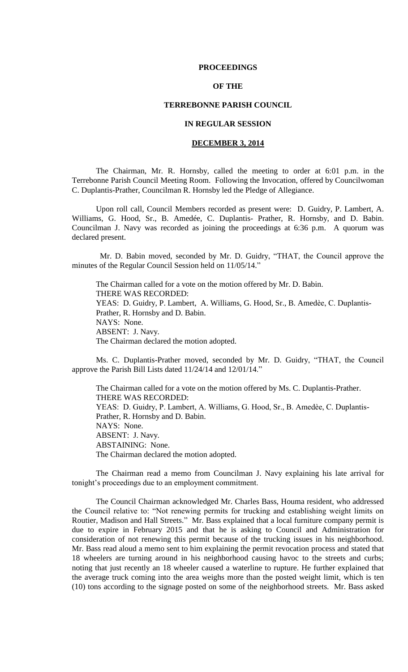## **PROCEEDINGS**

# **OF THE**

## **TERREBONNE PARISH COUNCIL**

# **IN REGULAR SESSION**

# **DECEMBER 3, 2014**

The Chairman, Mr. R. Hornsby, called the meeting to order at 6:01 p.m. in the Terrebonne Parish Council Meeting Room. Following the Invocation, offered by Councilwoman C. Duplantis-Prather, Councilman R. Hornsby led the Pledge of Allegiance.

Upon roll call, Council Members recorded as present were: D. Guidry, P. Lambert, A. Williams, G. Hood, Sr., B. Amedée, C. Duplantis- Prather, R. Hornsby, and D. Babin. Councilman J. Navy was recorded as joining the proceedings at 6:36 p.m. A quorum was declared present.

 Mr. D. Babin moved, seconded by Mr. D. Guidry, "THAT, the Council approve the minutes of the Regular Council Session held on 11/05/14."

The Chairman called for a vote on the motion offered by Mr. D. Babin. THERE WAS RECORDED: YEAS: D. Guidry, P. Lambert, A. Williams, G. Hood, Sr., B. Amedèe, C. Duplantis-Prather, R. Hornsby and D. Babin. NAYS: None. ABSENT: J. Navy. The Chairman declared the motion adopted.

Ms. C. Duplantis-Prather moved, seconded by Mr. D. Guidry, "THAT, the Council approve the Parish Bill Lists dated 11/24/14 and 12/01/14."

The Chairman called for a vote on the motion offered by Ms. C. Duplantis-Prather. THERE WAS RECORDED: YEAS: D. Guidry, P. Lambert, A. Williams, G. Hood, Sr., B. Amedèe, C. Duplantis-Prather, R. Hornsby and D. Babin. NAYS: None. ABSENT: J. Navy. ABSTAINING: None. The Chairman declared the motion adopted.

The Chairman read a memo from Councilman J. Navy explaining his late arrival for tonight's proceedings due to an employment commitment.

The Council Chairman acknowledged Mr. Charles Bass, Houma resident, who addressed the Council relative to: "Not renewing permits for trucking and establishing weight limits on Routier, Madison and Hall Streets." Mr. Bass explained that a local furniture company permit is due to expire in February 2015 and that he is asking to Council and Administration for consideration of not renewing this permit because of the trucking issues in his neighborhood. Mr. Bass read aloud a memo sent to him explaining the permit revocation process and stated that 18 wheelers are turning around in his neighborhood causing havoc to the streets and curbs; noting that just recently an 18 wheeler caused a waterline to rupture. He further explained that the average truck coming into the area weighs more than the posted weight limit, which is ten (10) tons according to the signage posted on some of the neighborhood streets. Mr. Bass asked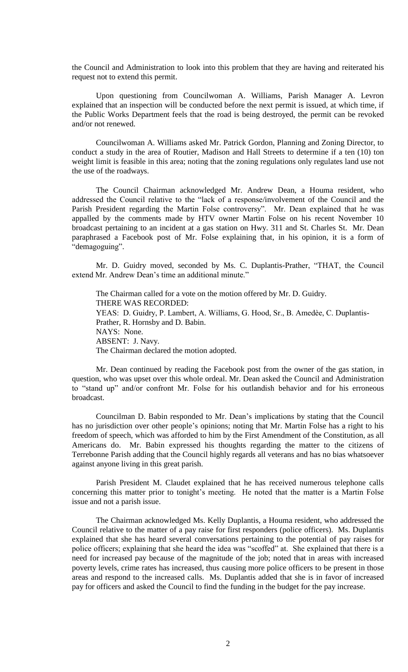the Council and Administration to look into this problem that they are having and reiterated his request not to extend this permit.

Upon questioning from Councilwoman A. Williams, Parish Manager A. Levron explained that an inspection will be conducted before the next permit is issued, at which time, if the Public Works Department feels that the road is being destroyed, the permit can be revoked and/or not renewed.

Councilwoman A. Williams asked Mr. Patrick Gordon, Planning and Zoning Director, to conduct a study in the area of Routier, Madison and Hall Streets to determine if a ten (10) ton weight limit is feasible in this area; noting that the zoning regulations only regulates land use not the use of the roadways.

The Council Chairman acknowledged Mr. Andrew Dean, a Houma resident, who addressed the Council relative to the "lack of a response/involvement of the Council and the Parish President regarding the Martin Folse controversy". Mr. Dean explained that he was appalled by the comments made by HTV owner Martin Folse on his recent November 10 broadcast pertaining to an incident at a gas station on Hwy. 311 and St. Charles St. Mr. Dean paraphrased a Facebook post of Mr. Folse explaining that, in his opinion, it is a form of "demagoguing".

Mr. D. Guidry moved, seconded by Ms. C. Duplantis-Prather, "THAT, the Council extend Mr. Andrew Dean's time an additional minute."

The Chairman called for a vote on the motion offered by Mr. D. Guidry. THERE WAS RECORDED: YEAS: D. Guidry, P. Lambert, A. Williams, G. Hood, Sr., B. Amedèe, C. Duplantis-Prather, R. Hornsby and D. Babin. NAYS: None. ABSENT: J. Navy. The Chairman declared the motion adopted.

Mr. Dean continued by reading the Facebook post from the owner of the gas station, in question, who was upset over this whole ordeal. Mr. Dean asked the Council and Administration to "stand up" and/or confront Mr. Folse for his outlandish behavior and for his erroneous broadcast.

Councilman D. Babin responded to Mr. Dean's implications by stating that the Council has no jurisdiction over other people's opinions; noting that Mr. Martin Folse has a right to his freedom of speech, which was afforded to him by the First Amendment of the Constitution, as all Americans do. Mr. Babin expressed his thoughts regarding the matter to the citizens of Terrebonne Parish adding that the Council highly regards all veterans and has no bias whatsoever against anyone living in this great parish.

Parish President M. Claudet explained that he has received numerous telephone calls concerning this matter prior to tonight's meeting. He noted that the matter is a Martin Folse issue and not a parish issue.

The Chairman acknowledged Ms. Kelly Duplantis, a Houma resident, who addressed the Council relative to the matter of a pay raise for first responders (police officers). Ms. Duplantis explained that she has heard several conversations pertaining to the potential of pay raises for police officers; explaining that she heard the idea was "scoffed" at. She explained that there is a need for increased pay because of the magnitude of the job; noted that in areas with increased poverty levels, crime rates has increased, thus causing more police officers to be present in those areas and respond to the increased calls. Ms. Duplantis added that she is in favor of increased pay for officers and asked the Council to find the funding in the budget for the pay increase.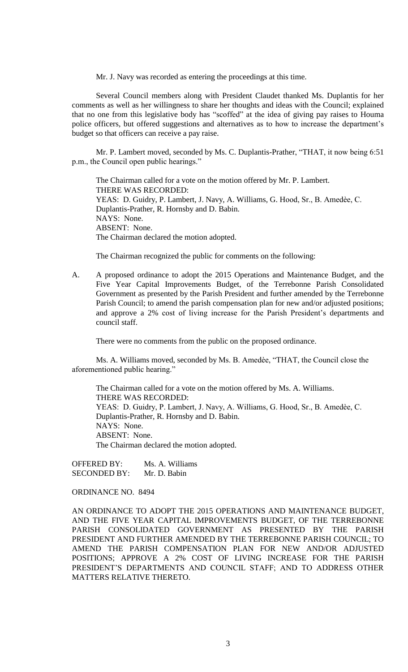Mr. J. Navy was recorded as entering the proceedings at this time.

Several Council members along with President Claudet thanked Ms. Duplantis for her comments as well as her willingness to share her thoughts and ideas with the Council; explained that no one from this legislative body has "scoffed" at the idea of giving pay raises to Houma police officers, but offered suggestions and alternatives as to how to increase the department's budget so that officers can receive a pay raise.

Mr. P. Lambert moved, seconded by Ms. C. Duplantis-Prather, "THAT, it now being 6:51 p.m., the Council open public hearings."

The Chairman called for a vote on the motion offered by Mr. P. Lambert. THERE WAS RECORDED: YEAS: D. Guidry, P. Lambert, J. Navy, A. Williams, G. Hood, Sr., B. Amedèe, C. Duplantis-Prather, R. Hornsby and D. Babin. NAYS: None. ABSENT: None. The Chairman declared the motion adopted.

The Chairman recognized the public for comments on the following:

A. A proposed ordinance to adopt the 2015 Operations and Maintenance Budget, and the Five Year Capital Improvements Budget, of the Terrebonne Parish Consolidated Government as presented by the Parish President and further amended by the Terrebonne Parish Council; to amend the parish compensation plan for new and/or adjusted positions; and approve a 2% cost of living increase for the Parish President's departments and council staff.

There were no comments from the public on the proposed ordinance.

Ms. A. Williams moved, seconded by Ms. B. Amedèe, "THAT, the Council close the aforementioned public hearing."

The Chairman called for a vote on the motion offered by Ms. A. Williams. THERE WAS RECORDED: YEAS: D. Guidry, P. Lambert, J. Navy, A. Williams, G. Hood, Sr., B. Amedèe, C. Duplantis-Prather, R. Hornsby and D. Babin. NAYS: None. ABSENT: None. The Chairman declared the motion adopted.

OFFERED BY: Ms. A. Williams SECONDED BY: Mr. D. Babin

## ORDINANCE NO. 8494

AN ORDINANCE TO ADOPT THE 2015 OPERATIONS AND MAINTENANCE BUDGET, AND THE FIVE YEAR CAPITAL IMPROVEMENTS BUDGET, OF THE TERREBONNE PARISH CONSOLIDATED GOVERNMENT AS PRESENTED BY THE PARISH PRESIDENT AND FURTHER AMENDED BY THE TERREBONNE PARISH COUNCIL; TO AMEND THE PARISH COMPENSATION PLAN FOR NEW AND/OR ADJUSTED POSITIONS; APPROVE A 2% COST OF LIVING INCREASE FOR THE PARISH PRESIDENT'S DEPARTMENTS AND COUNCIL STAFF; AND TO ADDRESS OTHER MATTERS RELATIVE THERETO.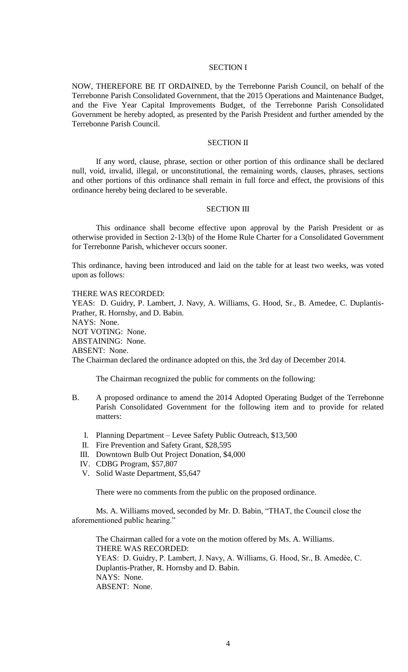## SECTION I

NOW, THEREFORE BE IT ORDAINED, by the Terrebonne Parish Council, on behalf of the Terrebonne Parish Consolidated Government, that the 2015 Operations and Maintenance Budget, and the Five Year Capital Improvements Budget, of the Terrebonne Parish Consolidated Government be hereby adopted, as presented by the Parish President and further amended by the Terrebonne Parish Council.

## SECTION II

If any word, clause, phrase, section or other portion of this ordinance shall be declared null, void, invalid, illegal, or unconstitutional, the remaining words, clauses, phrases, sections and other portions of this ordinance shall remain in full force and effect, the provisions of this ordinance hereby being declared to be severable.

#### SECTION III

This ordinance shall become effective upon approval by the Parish President or as otherwise provided in Section 2-13(b) of the Home Rule Charter for a Consolidated Government for Terrebonne Parish, whichever occurs sooner.

This ordinance, having been introduced and laid on the table for at least two weeks, was voted upon as follows:

THERE WAS RECORDED: YEAS: D. Guidry, P. Lambert, J. Navy, A. Williams, G. Hood, Sr., B. Amedee, C. Duplantis-Prather, R. Hornsby, and D. Babin. NAYS: None. NOT VOTING: None. ABSTAINING: None. ABSENT: None. The Chairman declared the ordinance adopted on this, the 3rd day of December 2014.

The Chairman recognized the public for comments on the following:

- B. A proposed ordinance to amend the 2014 Adopted Operating Budget of the Terrebonne Parish Consolidated Government for the following item and to provide for related matters:
	- I. Planning Department Levee Safety Public Outreach, \$13,500
	- II. Fire Prevention and Safety Grant, \$28,595
	- III. Downtown Bulb Out Project Donation, \$4,000
	- IV. CDBG Program, \$57,807
	- V. Solid Waste Department, \$5,647

There were no comments from the public on the proposed ordinance.

Ms. A. Williams moved, seconded by Mr. D. Babin, "THAT, the Council close the aforementioned public hearing."

The Chairman called for a vote on the motion offered by Ms. A. Williams. THERE WAS RECORDED: YEAS: D. Guidry, P. Lambert, J. Navy, A. Williams, G. Hood, Sr., B. Amedèe, C. Duplantis-Prather, R. Hornsby and D. Babin. NAYS: None. ABSENT: None.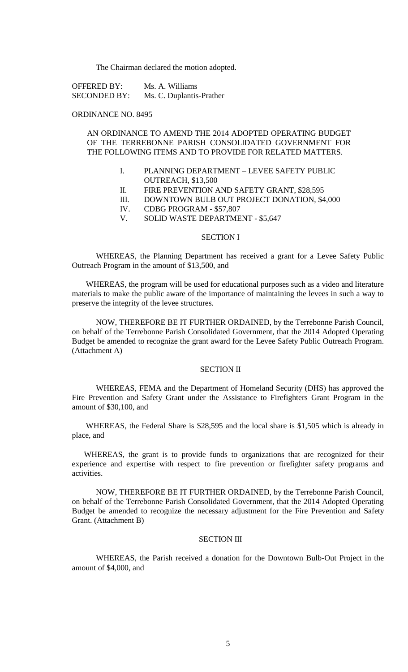The Chairman declared the motion adopted.

OFFERED BY: Ms. A. Williams SECONDED BY: Ms. C. Duplantis-Prather

## ORDINANCE NO. 8495

# AN ORDINANCE TO AMEND THE 2014 ADOPTED OPERATING BUDGET OF THE TERREBONNE PARISH CONSOLIDATED GOVERNMENT FOR THE FOLLOWING ITEMS AND TO PROVIDE FOR RELATED MATTERS.

- I. PLANNING DEPARTMENT LEVEE SAFETY PUBLIC OUTREACH, \$13,500
- II. FIRE PREVENTION AND SAFETY GRANT, \$28,595
- III. DOWNTOWN BULB OUT PROJECT DONATION, \$4,000
- IV. CDBG PROGRAM \$57,807
- V. SOLID WASTE DEPARTMENT \$5,647

#### SECTION I

WHEREAS, the Planning Department has received a grant for a Levee Safety Public Outreach Program in the amount of \$13,500, and

WHEREAS, the program will be used for educational purposes such as a video and literature materials to make the public aware of the importance of maintaining the levees in such a way to preserve the integrity of the levee structures.

NOW, THEREFORE BE IT FURTHER ORDAINED, by the Terrebonne Parish Council, on behalf of the Terrebonne Parish Consolidated Government, that the 2014 Adopted Operating Budget be amended to recognize the grant award for the Levee Safety Public Outreach Program. (Attachment A)

#### SECTION II

WHEREAS, FEMA and the Department of Homeland Security (DHS) has approved the Fire Prevention and Safety Grant under the Assistance to Firefighters Grant Program in the amount of \$30,100, and

WHEREAS, the Federal Share is \$28,595 and the local share is \$1,505 which is already in place, and

WHEREAS, the grant is to provide funds to organizations that are recognized for their experience and expertise with respect to fire prevention or firefighter safety programs and activities.

NOW, THEREFORE BE IT FURTHER ORDAINED, by the Terrebonne Parish Council, on behalf of the Terrebonne Parish Consolidated Government, that the 2014 Adopted Operating Budget be amended to recognize the necessary adjustment for the Fire Prevention and Safety Grant. (Attachment B)

## SECTION III

WHEREAS, the Parish received a donation for the Downtown Bulb-Out Project in the amount of \$4,000, and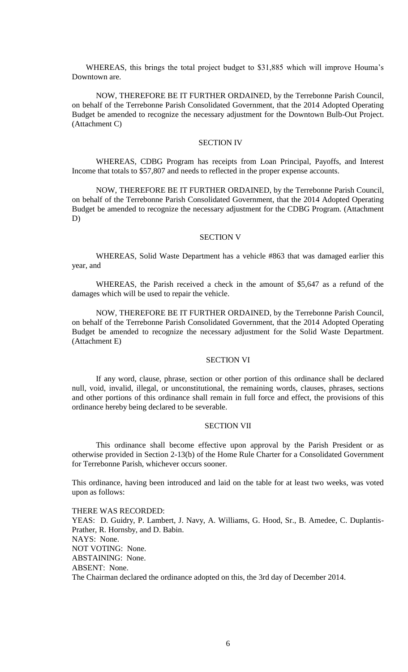WHEREAS, this brings the total project budget to \$31,885 which will improve Houma's Downtown are.

NOW, THEREFORE BE IT FURTHER ORDAINED, by the Terrebonne Parish Council, on behalf of the Terrebonne Parish Consolidated Government, that the 2014 Adopted Operating Budget be amended to recognize the necessary adjustment for the Downtown Bulb-Out Project. (Attachment C)

## SECTION IV

WHEREAS, CDBG Program has receipts from Loan Principal, Payoffs, and Interest Income that totals to \$57,807 and needs to reflected in the proper expense accounts.

NOW, THEREFORE BE IT FURTHER ORDAINED, by the Terrebonne Parish Council, on behalf of the Terrebonne Parish Consolidated Government, that the 2014 Adopted Operating Budget be amended to recognize the necessary adjustment for the CDBG Program. (Attachment D)

#### SECTION V

WHEREAS, Solid Waste Department has a vehicle #863 that was damaged earlier this year, and

WHEREAS, the Parish received a check in the amount of \$5,647 as a refund of the damages which will be used to repair the vehicle.

NOW, THEREFORE BE IT FURTHER ORDAINED, by the Terrebonne Parish Council, on behalf of the Terrebonne Parish Consolidated Government, that the 2014 Adopted Operating Budget be amended to recognize the necessary adjustment for the Solid Waste Department. (Attachment E)

# SECTION VI

If any word, clause, phrase, section or other portion of this ordinance shall be declared null, void, invalid, illegal, or unconstitutional, the remaining words, clauses, phrases, sections and other portions of this ordinance shall remain in full force and effect, the provisions of this ordinance hereby being declared to be severable.

## SECTION VII

This ordinance shall become effective upon approval by the Parish President or as otherwise provided in Section 2-13(b) of the Home Rule Charter for a Consolidated Government for Terrebonne Parish, whichever occurs sooner.

This ordinance, having been introduced and laid on the table for at least two weeks, was voted upon as follows:

THERE WAS RECORDED: YEAS: D. Guidry, P. Lambert, J. Navy, A. Williams, G. Hood, Sr., B. Amedee, C. Duplantis-Prather, R. Hornsby, and D. Babin. NAYS: None. NOT VOTING: None. ABSTAINING: None. ABSENT: None. The Chairman declared the ordinance adopted on this, the 3rd day of December 2014.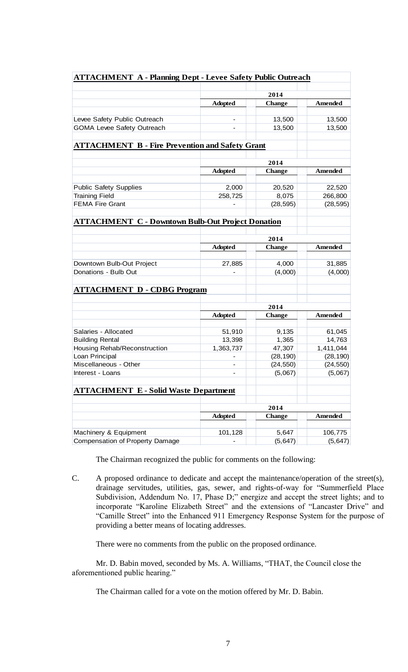| <b>ATTACHMENT A - Planning Dept - Levee Safety Public Outreach</b> |                                         |                       |                      |  |
|--------------------------------------------------------------------|-----------------------------------------|-----------------------|----------------------|--|
|                                                                    |                                         |                       |                      |  |
|                                                                    | 2014<br><b>Adopted</b><br><b>Change</b> |                       | Amended              |  |
|                                                                    |                                         |                       |                      |  |
| Levee Safety Public Outreach                                       | $\overline{\phantom{0}}$                | 13,500                | 13,500               |  |
| <b>GOMA Levee Safety Outreach</b>                                  |                                         | 13,500                | 13,500               |  |
|                                                                    |                                         |                       |                      |  |
| <b>ATTACHMENT B - Fire Prevention and Safety Grant</b>             |                                         |                       |                      |  |
|                                                                    |                                         |                       |                      |  |
|                                                                    |                                         | 2014                  |                      |  |
|                                                                    | <b>Adopted</b>                          | <b>Change</b>         | Amended              |  |
|                                                                    |                                         |                       |                      |  |
| <b>Public Safety Supplies</b><br><b>Training Field</b>             | 2,000<br>258,725                        | 20,520<br>8,075       | 22,520               |  |
| <b>FEMA Fire Grant</b>                                             |                                         | (28, 595)             | 266,800<br>(28, 595) |  |
|                                                                    |                                         |                       |                      |  |
| <b>ATTACHMENT C - Downtown Bulb-Out Project Donation</b>           |                                         |                       |                      |  |
|                                                                    |                                         |                       |                      |  |
|                                                                    | 2014                                    |                       |                      |  |
|                                                                    | <b>Adopted</b>                          | <b>Change</b>         | Amended              |  |
| Downtown Bulb-Out Project                                          | 27,885                                  | 4,000                 | 31,885               |  |
| Donations - Bulb Out                                               |                                         | (4,000)               | (4,000)              |  |
|                                                                    |                                         |                       |                      |  |
| <b>ATTACHMENT D - CDBG Program</b>                                 |                                         |                       |                      |  |
|                                                                    |                                         |                       |                      |  |
|                                                                    |                                         | 2014                  |                      |  |
|                                                                    | <b>Adopted</b>                          | <b>Change</b>         | <b>Amended</b>       |  |
| Salaries - Allocated                                               | 51,910                                  | 9,135                 | 61,045               |  |
| <b>Building Rental</b>                                             | 13,398                                  | 1,365                 | 14,763               |  |
| Housing Rehab/Reconstruction                                       | 1,363,737                               | 47,307                | 1,411,044            |  |
| Loan Principal                                                     |                                         | (28, 190)             | (28, 190)            |  |
| Miscellaneous - Other                                              |                                         | (24, 550)             | (24, 550)            |  |
| Interest - Loans                                                   |                                         | (5,067)               | (5,067)              |  |
|                                                                    |                                         |                       |                      |  |
| <b>ATTACHMENT E - Solid Waste Department</b>                       |                                         |                       |                      |  |
|                                                                    |                                         |                       |                      |  |
|                                                                    | <b>Adopted</b>                          | 2014<br><b>Change</b> | <b>Amended</b>       |  |
|                                                                    |                                         |                       |                      |  |
| Machinery & Equipment                                              | 101,128                                 | 5,647                 | 106,775              |  |
| Compensation of Property Damage                                    |                                         | (5, 647)              | (5, 647)             |  |
|                                                                    |                                         |                       |                      |  |

The Chairman recognized the public for comments on the following:

C. A proposed ordinance to dedicate and accept the maintenance/operation of the street(s), drainage servitudes, utilities, gas, sewer, and rights-of-way for "Summerfield Place Subdivision, Addendum No. 17, Phase D;" energize and accept the street lights; and to incorporate "Karoline Elizabeth Street" and the extensions of "Lancaster Drive" and "Camille Street" into the Enhanced 911 Emergency Response System for the purpose of providing a better means of locating addresses.

There were no comments from the public on the proposed ordinance.

Mr. D. Babin moved, seconded by Ms. A. Williams, "THAT, the Council close the aforementioned public hearing."

The Chairman called for a vote on the motion offered by Mr. D. Babin.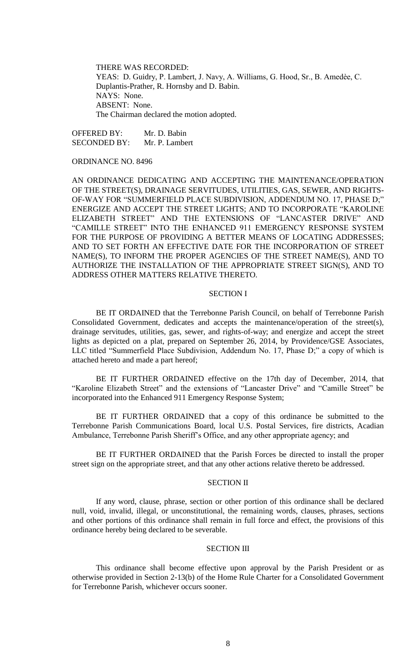THERE WAS RECORDED: YEAS: D. Guidry, P. Lambert, J. Navy, A. Williams, G. Hood, Sr., B. Amedèe, C. Duplantis-Prather, R. Hornsby and D. Babin. NAYS: None. ABSENT: None. The Chairman declared the motion adopted.

OFFERED BY: Mr. D. Babin SECONDED BY: Mr. P. Lambert

# ORDINANCE NO. 8496

AN ORDINANCE DEDICATING AND ACCEPTING THE MAINTENANCE/OPERATION OF THE STREET(S), DRAINAGE SERVITUDES, UTILITIES, GAS, SEWER, AND RIGHTS-OF-WAY FOR "SUMMERFIELD PLACE SUBDIVISION, ADDENDUM NO. 17, PHASE D;" ENERGIZE AND ACCEPT THE STREET LIGHTS; AND TO INCORPORATE "KAROLINE ELIZABETH STREET" AND THE EXTENSIONS OF "LANCASTER DRIVE" AND "CAMILLE STREET" INTO THE ENHANCED 911 EMERGENCY RESPONSE SYSTEM FOR THE PURPOSE OF PROVIDING A BETTER MEANS OF LOCATING ADDRESSES; AND TO SET FORTH AN EFFECTIVE DATE FOR THE INCORPORATION OF STREET NAME(S), TO INFORM THE PROPER AGENCIES OF THE STREET NAME(S), AND TO AUTHORIZE THE INSTALLATION OF THE APPROPRIATE STREET SIGN(S), AND TO ADDRESS OTHER MATTERS RELATIVE THERETO.

# SECTION I

BE IT ORDAINED that the Terrebonne Parish Council, on behalf of Terrebonne Parish Consolidated Government, dedicates and accepts the maintenance/operation of the street(s), drainage servitudes, utilities, gas, sewer, and rights-of-way; and energize and accept the street lights as depicted on a plat, prepared on September 26, 2014, by Providence/GSE Associates, LLC titled "Summerfield Place Subdivision, Addendum No. 17, Phase D;" a copy of which is attached hereto and made a part hereof;

BE IT FURTHER ORDAINED effective on the 17th day of December, 2014, that "Karoline Elizabeth Street" and the extensions of "Lancaster Drive" and "Camille Street" be incorporated into the Enhanced 911 Emergency Response System;

BE IT FURTHER ORDAINED that a copy of this ordinance be submitted to the Terrebonne Parish Communications Board, local U.S. Postal Services, fire districts, Acadian Ambulance, Terrebonne Parish Sheriff's Office, and any other appropriate agency; and

BE IT FURTHER ORDAINED that the Parish Forces be directed to install the proper street sign on the appropriate street, and that any other actions relative thereto be addressed.

# SECTION II

If any word, clause, phrase, section or other portion of this ordinance shall be declared null, void, invalid, illegal, or unconstitutional, the remaining words, clauses, phrases, sections and other portions of this ordinance shall remain in full force and effect, the provisions of this ordinance hereby being declared to be severable.

### SECTION III

This ordinance shall become effective upon approval by the Parish President or as otherwise provided in Section 2-13(b) of the Home Rule Charter for a Consolidated Government for Terrebonne Parish, whichever occurs sooner.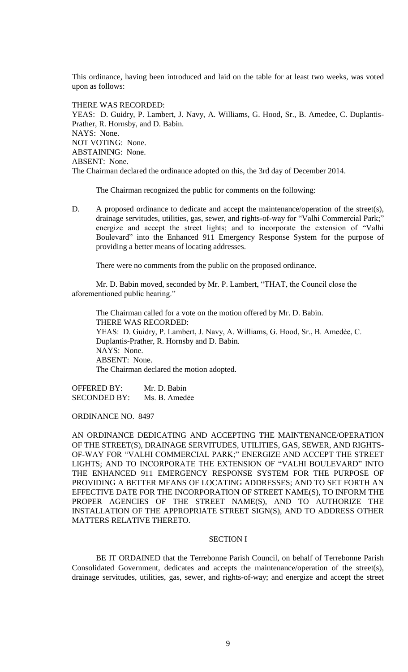This ordinance, having been introduced and laid on the table for at least two weeks, was voted upon as follows:

THERE WAS RECORDED:

YEAS: D. Guidry, P. Lambert, J. Navy, A. Williams, G. Hood, Sr., B. Amedee, C. Duplantis-Prather, R. Hornsby, and D. Babin. NAYS: None. NOT VOTING: None. ABSTAINING: None. ABSENT: None. The Chairman declared the ordinance adopted on this, the 3rd day of December 2014.

The Chairman recognized the public for comments on the following:

D. A proposed ordinance to dedicate and accept the maintenance/operation of the street(s), drainage servitudes, utilities, gas, sewer, and rights-of-way for "Valhi Commercial Park;" energize and accept the street lights; and to incorporate the extension of "Valhi Boulevard" into the Enhanced 911 Emergency Response System for the purpose of providing a better means of locating addresses.

There were no comments from the public on the proposed ordinance.

Mr. D. Babin moved, seconded by Mr. P. Lambert, "THAT, the Council close the aforementioned public hearing."

The Chairman called for a vote on the motion offered by Mr. D. Babin. THERE WAS RECORDED: YEAS: D. Guidry, P. Lambert, J. Navy, A. Williams, G. Hood, Sr., B. Amedèe, C. Duplantis-Prather, R. Hornsby and D. Babin. NAYS: None. ABSENT: None. The Chairman declared the motion adopted.

OFFERED BY: Mr. D. Babin SECONDED BY: Ms. B. Amedée

ORDINANCE NO. 8497

AN ORDINANCE DEDICATING AND ACCEPTING THE MAINTENANCE/OPERATION OF THE STREET(S), DRAINAGE SERVITUDES, UTILITIES, GAS, SEWER, AND RIGHTS-OF-WAY FOR "VALHI COMMERCIAL PARK;" ENERGIZE AND ACCEPT THE STREET LIGHTS; AND TO INCORPORATE THE EXTENSION OF "VALHI BOULEVARD" INTO THE ENHANCED 911 EMERGENCY RESPONSE SYSTEM FOR THE PURPOSE OF PROVIDING A BETTER MEANS OF LOCATING ADDRESSES; AND TO SET FORTH AN EFFECTIVE DATE FOR THE INCORPORATION OF STREET NAME(S), TO INFORM THE PROPER AGENCIES OF THE STREET NAME(S), AND TO AUTHORIZE THE INSTALLATION OF THE APPROPRIATE STREET SIGN(S), AND TO ADDRESS OTHER MATTERS RELATIVE THERETO.

#### SECTION I

BE IT ORDAINED that the Terrebonne Parish Council, on behalf of Terrebonne Parish Consolidated Government, dedicates and accepts the maintenance/operation of the street(s), drainage servitudes, utilities, gas, sewer, and rights-of-way; and energize and accept the street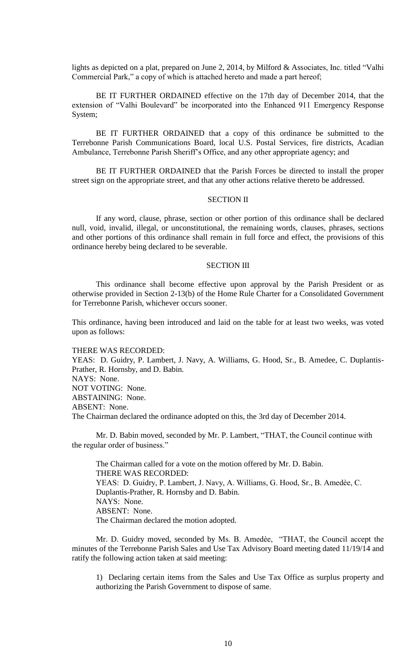lights as depicted on a plat, prepared on June 2, 2014, by Milford & Associates, Inc. titled "Valhi Commercial Park," a copy of which is attached hereto and made a part hereof;

BE IT FURTHER ORDAINED effective on the 17th day of December 2014, that the extension of "Valhi Boulevard" be incorporated into the Enhanced 911 Emergency Response System;

BE IT FURTHER ORDAINED that a copy of this ordinance be submitted to the Terrebonne Parish Communications Board, local U.S. Postal Services, fire districts, Acadian Ambulance, Terrebonne Parish Sheriff's Office, and any other appropriate agency; and

BE IT FURTHER ORDAINED that the Parish Forces be directed to install the proper street sign on the appropriate street, and that any other actions relative thereto be addressed.

#### SECTION II

If any word, clause, phrase, section or other portion of this ordinance shall be declared null, void, invalid, illegal, or unconstitutional, the remaining words, clauses, phrases, sections and other portions of this ordinance shall remain in full force and effect, the provisions of this ordinance hereby being declared to be severable.

## SECTION III

This ordinance shall become effective upon approval by the Parish President or as otherwise provided in Section 2-13(b) of the Home Rule Charter for a Consolidated Government for Terrebonne Parish, whichever occurs sooner.

This ordinance, having been introduced and laid on the table for at least two weeks, was voted upon as follows:

THERE WAS RECORDED:

YEAS: D. Guidry, P. Lambert, J. Navy, A. Williams, G. Hood, Sr., B. Amedee, C. Duplantis-Prather, R. Hornsby, and D. Babin. NAYS: None. NOT VOTING: None. ABSTAINING: None. ABSENT: None. The Chairman declared the ordinance adopted on this, the 3rd day of December 2014.

Mr. D. Babin moved, seconded by Mr. P. Lambert, "THAT, the Council continue with the regular order of business."

The Chairman called for a vote on the motion offered by Mr. D. Babin. THERE WAS RECORDED: YEAS: D. Guidry, P. Lambert, J. Navy, A. Williams, G. Hood, Sr., B. Amedèe, C. Duplantis-Prather, R. Hornsby and D. Babin. NAYS: None. ABSENT: None. The Chairman declared the motion adopted.

Mr. D. Guidry moved, seconded by Ms. B. Amedèe, "THAT, the Council accept the minutes of the Terrebonne Parish Sales and Use Tax Advisory Board meeting dated 11/19/14 and ratify the following action taken at said meeting:

1) Declaring certain items from the Sales and Use Tax Office as surplus property and authorizing the Parish Government to dispose of same.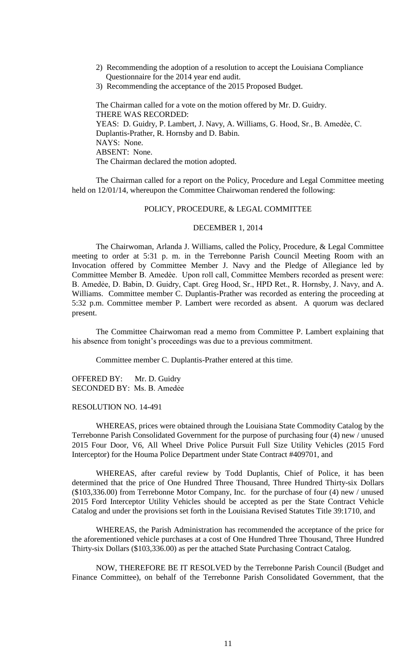- 2) Recommending the adoption of a resolution to accept the Louisiana Compliance Questionnaire for the 2014 year end audit.
- 3) Recommending the acceptance of the 2015 Proposed Budget.

The Chairman called for a vote on the motion offered by Mr. D. Guidry. THERE WAS RECORDED: YEAS: D. Guidry, P. Lambert, J. Navy, A. Williams, G. Hood, Sr., B. Amedèe, C. Duplantis-Prather, R. Hornsby and D. Babin. NAYS: None. ABSENT: None. The Chairman declared the motion adopted.

The Chairman called for a report on the Policy, Procedure and Legal Committee meeting held on 12/01/14, whereupon the Committee Chairwoman rendered the following:

# POLICY, PROCEDURE, & LEGAL COMMITTEE

### DECEMBER 1, 2014

The Chairwoman, Arlanda J. Williams, called the Policy, Procedure, & Legal Committee meeting to order at 5:31 p. m. in the Terrebonne Parish Council Meeting Room with an Invocation offered by Committee Member J. Navy and the Pledge of Allegiance led by Committee Member B. Amedѐe. Upon roll call, Committee Members recorded as present were: B. Amedẻe, D. Babin, D. Guidry, Capt. Greg Hood, Sr., HPD Ret., R. Hornsby, J. Navy, and A. Williams. Committee member C. Duplantis-Prather was recorded as entering the proceeding at 5:32 p.m. Committee member P. Lambert were recorded as absent. A quorum was declared present.

The Committee Chairwoman read a memo from Committee P. Lambert explaining that his absence from tonight's proceedings was due to a previous commitment.

Committee member C. Duplantis-Prather entered at this time.

OFFERED BY: Mr. D. Guidry SECONDED BY: Ms. B. Amedẻe

#### RESOLUTION NO. 14-491

WHEREAS, prices were obtained through the Louisiana State Commodity Catalog by the Terrebonne Parish Consolidated Government for the purpose of purchasing four (4) new / unused 2015 Four Door, V6, All Wheel Drive Police Pursuit Full Size Utility Vehicles (2015 Ford Interceptor) for the Houma Police Department under State Contract #409701, and

WHEREAS, after careful review by Todd Duplantis, Chief of Police, it has been determined that the price of One Hundred Three Thousand, Three Hundred Thirty-six Dollars (\$103,336.00) from Terrebonne Motor Company, Inc. for the purchase of four (4) new / unused 2015 Ford Interceptor Utility Vehicles should be accepted as per the State Contract Vehicle Catalog and under the provisions set forth in the Louisiana Revised Statutes Title 39:1710, and

WHEREAS, the Parish Administration has recommended the acceptance of the price for the aforementioned vehicle purchases at a cost of One Hundred Three Thousand, Three Hundred Thirty-six Dollars (\$103,336.00) as per the attached State Purchasing Contract Catalog.

NOW, THEREFORE BE IT RESOLVED by the Terrebonne Parish Council (Budget and Finance Committee), on behalf of the Terrebonne Parish Consolidated Government, that the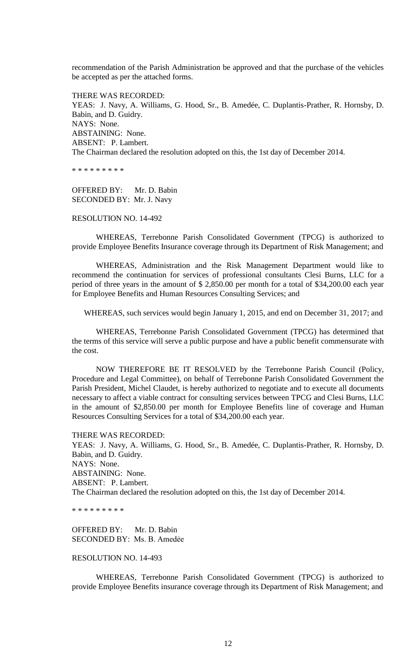recommendation of the Parish Administration be approved and that the purchase of the vehicles be accepted as per the attached forms.

THERE WAS RECORDED: YEAS: J. Navy, A. Williams, G. Hood, Sr., B. Amedée, C. Duplantis-Prather, R. Hornsby, D. Babin, and D. Guidry. NAYS: None. ABSTAINING: None. ABSENT: P. Lambert. The Chairman declared the resolution adopted on this, the 1st day of December 2014.

\* \* \* \* \* \* \* \* \*

OFFERED BY: Mr. D. Babin SECONDED BY: Mr. J. Navy

# RESOLUTION NO. 14-492

WHEREAS, Terrebonne Parish Consolidated Government (TPCG) is authorized to provide Employee Benefits Insurance coverage through its Department of Risk Management; and

WHEREAS, Administration and the Risk Management Department would like to recommend the continuation for services of professional consultants Clesi Burns, LLC for a period of three years in the amount of \$ 2,850.00 per month for a total of \$34,200.00 each year for Employee Benefits and Human Resources Consulting Services; and

WHEREAS, such services would begin January 1, 2015, and end on December 31, 2017; and

WHEREAS, Terrebonne Parish Consolidated Government (TPCG) has determined that the terms of this service will serve a public purpose and have a public benefit commensurate with the cost.

NOW THEREFORE BE IT RESOLVED by the Terrebonne Parish Council (Policy, Procedure and Legal Committee), on behalf of Terrebonne Parish Consolidated Government the Parish President, Michel Claudet, is hereby authorized to negotiate and to execute all documents necessary to affect a viable contract for consulting services between TPCG and Clesi Burns, LLC in the amount of \$2,850.00 per month for Employee Benefits line of coverage and Human Resources Consulting Services for a total of \$34,200.00 each year.

THERE WAS RECORDED:

YEAS: J. Navy, A. Williams, G. Hood, Sr., B. Amedée, C. Duplantis-Prather, R. Hornsby, D. Babin, and D. Guidry. NAYS: None. ABSTAINING: None. ABSENT: P. Lambert. The Chairman declared the resolution adopted on this, the 1st day of December 2014.

\* \* \* \* \* \* \* \* \*

OFFERED BY: Mr. D. Babin SECONDED BY: Ms. B. Amedẻe

# RESOLUTION NO. 14-493

WHEREAS, Terrebonne Parish Consolidated Government (TPCG) is authorized to provide Employee Benefits insurance coverage through its Department of Risk Management; and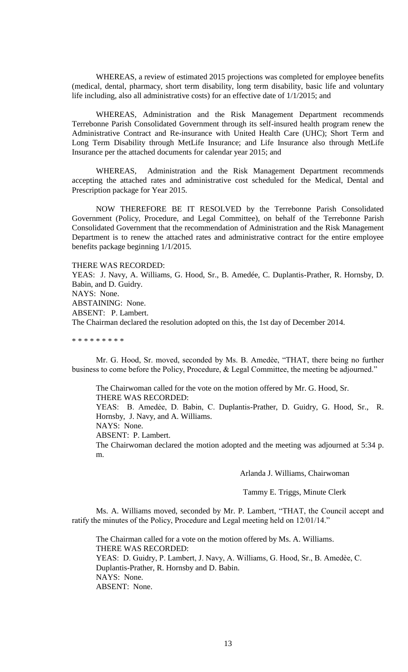WHEREAS, a review of estimated 2015 projections was completed for employee benefits (medical, dental, pharmacy, short term disability, long term disability, basic life and voluntary life including, also all administrative costs) for an effective date of 1/1/2015; and

WHEREAS, Administration and the Risk Management Department recommends Terrebonne Parish Consolidated Government through its self-insured health program renew the Administrative Contract and Re-insurance with United Health Care (UHC); Short Term and Long Term Disability through MetLife Insurance; and Life Insurance also through MetLife Insurance per the attached documents for calendar year 2015; and

WHEREAS, Administration and the Risk Management Department recommends accepting the attached rates and administrative cost scheduled for the Medical, Dental and Prescription package for Year 2015.

NOW THEREFORE BE IT RESOLVED by the Terrebonne Parish Consolidated Government (Policy, Procedure, and Legal Committee), on behalf of the Terrebonne Parish Consolidated Government that the recommendation of Administration and the Risk Management Department is to renew the attached rates and administrative contract for the entire employee benefits package beginning 1/1/2015.

THERE WAS RECORDED:

YEAS: J. Navy, A. Williams, G. Hood, Sr., B. Amedée, C. Duplantis-Prather, R. Hornsby, D. Babin, and D. Guidry. NAYS: None. ABSTAINING: None. ABSENT: P. Lambert. The Chairman declared the resolution adopted on this, the 1st day of December 2014.

\* \* \* \* \* \* \* \* \*

Mr. G. Hood, Sr. moved, seconded by Ms. B. Amedѐe, "THAT, there being no further business to come before the Policy, Procedure, & Legal Committee, the meeting be adjourned."

The Chairwoman called for the vote on the motion offered by Mr. G. Hood, Sr. THERE WAS RECORDED:

YEAS: B. Amedẻe, D. Babin, C. Duplantis-Prather, D. Guidry, G. Hood, Sr., R. Hornsby, J. Navy, and A. Williams.

NAYS: None.

ABSENT: P. Lambert.

The Chairwoman declared the motion adopted and the meeting was adjourned at 5:34 p. m.

Arlanda J. Williams, Chairwoman

Tammy E. Triggs, Minute Clerk

Ms. A. Williams moved, seconded by Mr. P. Lambert, "THAT, the Council accept and ratify the minutes of the Policy, Procedure and Legal meeting held on 12/01/14."

The Chairman called for a vote on the motion offered by Ms. A. Williams. THERE WAS RECORDED: YEAS: D. Guidry, P. Lambert, J. Navy, A. Williams, G. Hood, Sr., B. Amedèe, C. Duplantis-Prather, R. Hornsby and D. Babin. NAYS: None. ABSENT: None.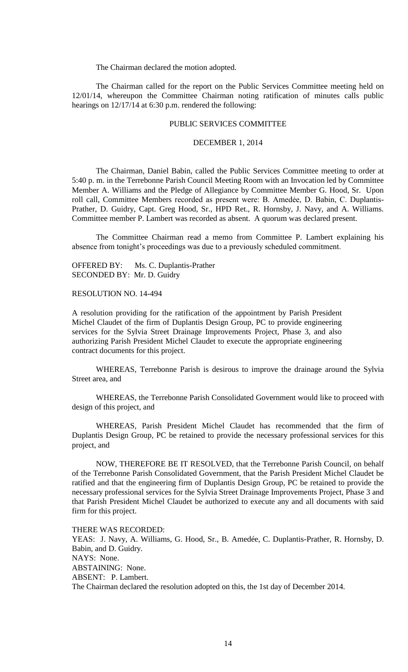The Chairman declared the motion adopted.

The Chairman called for the report on the Public Services Committee meeting held on 12/01/14, whereupon the Committee Chairman noting ratification of minutes calls public hearings on  $12/17/14$  at 6:30 p.m. rendered the following:

# PUBLIC SERVICES COMMITTEE

## DECEMBER 1, 2014

The Chairman, Daniel Babin, called the Public Services Committee meeting to order at 5:40 p. m. in the Terrebonne Parish Council Meeting Room with an Invocation led by Committee Member A. Williams and the Pledge of Allegiance by Committee Member G. Hood, Sr. Upon roll call, Committee Members recorded as present were: B. Amedẻe, D. Babin, C. Duplantis-Prather, D. Guidry, Capt. Greg Hood, Sr., HPD Ret., R. Hornsby, J. Navy, and A. Williams. Committee member P. Lambert was recorded as absent. A quorum was declared present.

The Committee Chairman read a memo from Committee P. Lambert explaining his absence from tonight's proceedings was due to a previously scheduled commitment.

OFFERED BY: Ms. C. Duplantis-Prather SECONDED BY: Mr. D. Guidry

RESOLUTION NO. 14-494

A resolution providing for the ratification of the appointment by Parish President Michel Claudet of the firm of Duplantis Design Group, PC to provide engineering services for the Sylvia Street Drainage Improvements Project, Phase 3, and also authorizing Parish President Michel Claudet to execute the appropriate engineering contract documents for this project.

WHEREAS, Terrebonne Parish is desirous to improve the drainage around the Sylvia Street area, and

WHEREAS, the Terrebonne Parish Consolidated Government would like to proceed with design of this project, and

WHEREAS, Parish President Michel Claudet has recommended that the firm of Duplantis Design Group, PC be retained to provide the necessary professional services for this project, and

NOW, THEREFORE BE IT RESOLVED, that the Terrebonne Parish Council, on behalf of the Terrebonne Parish Consolidated Government, that the Parish President Michel Claudet be ratified and that the engineering firm of Duplantis Design Group, PC be retained to provide the necessary professional services for the Sylvia Street Drainage Improvements Project, Phase 3 and that Parish President Michel Claudet be authorized to execute any and all documents with said firm for this project.

THERE WAS RECORDED: YEAS: J. Navy, A. Williams, G. Hood, Sr., B. Amedée, C. Duplantis-Prather, R. Hornsby, D. Babin, and D. Guidry. NAYS: None. ABSTAINING: None. ABSENT: P. Lambert. The Chairman declared the resolution adopted on this, the 1st day of December 2014.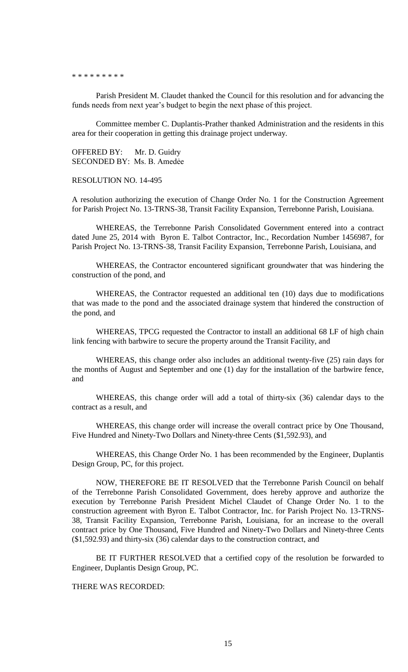#### \* \* \* \* \* \* \* \* \*

Parish President M. Claudet thanked the Council for this resolution and for advancing the funds needs from next year's budget to begin the next phase of this project.

Committee member C. Duplantis-Prather thanked Administration and the residents in this area for their cooperation in getting this drainage project underway.

OFFERED BY: Mr. D. Guidry SECONDED BY: Ms. B. Amedẻe

RESOLUTION NO. 14-495

A resolution authorizing the execution of Change Order No. 1 for the Construction Agreement for Parish Project No. 13-TRNS-38, Transit Facility Expansion, Terrebonne Parish, Louisiana.

WHEREAS, the Terrebonne Parish Consolidated Government entered into a contract dated June 25, 2014 with Byron E. Talbot Contractor, Inc., Recordation Number 1456987, for Parish Project No. 13-TRNS-38, Transit Facility Expansion, Terrebonne Parish, Louisiana, and

WHEREAS, the Contractor encountered significant groundwater that was hindering the construction of the pond, and

WHEREAS, the Contractor requested an additional ten (10) days due to modifications that was made to the pond and the associated drainage system that hindered the construction of the pond, and

WHEREAS, TPCG requested the Contractor to install an additional 68 LF of high chain link fencing with barbwire to secure the property around the Transit Facility, and

WHEREAS, this change order also includes an additional twenty-five (25) rain days for the months of August and September and one (1) day for the installation of the barbwire fence, and

WHEREAS, this change order will add a total of thirty-six (36) calendar days to the contract as a result, and

WHEREAS, this change order will increase the overall contract price by One Thousand, Five Hundred and Ninety-Two Dollars and Ninety-three Cents (\$1,592.93), and

WHEREAS, this Change Order No. 1 has been recommended by the Engineer, Duplantis Design Group, PC, for this project.

NOW, THEREFORE BE IT RESOLVED that the Terrebonne Parish Council on behalf of the Terrebonne Parish Consolidated Government, does hereby approve and authorize the execution by Terrebonne Parish President Michel Claudet of Change Order No. 1 to the construction agreement with Byron E. Talbot Contractor, Inc. for Parish Project No. 13-TRNS-38, Transit Facility Expansion, Terrebonne Parish, Louisiana, for an increase to the overall contract price by One Thousand, Five Hundred and Ninety-Two Dollars and Ninety-three Cents (\$1,592.93) and thirty-six (36) calendar days to the construction contract, and

BE IT FURTHER RESOLVED that a certified copy of the resolution be forwarded to Engineer, Duplantis Design Group, PC.

# THERE WAS RECORDED: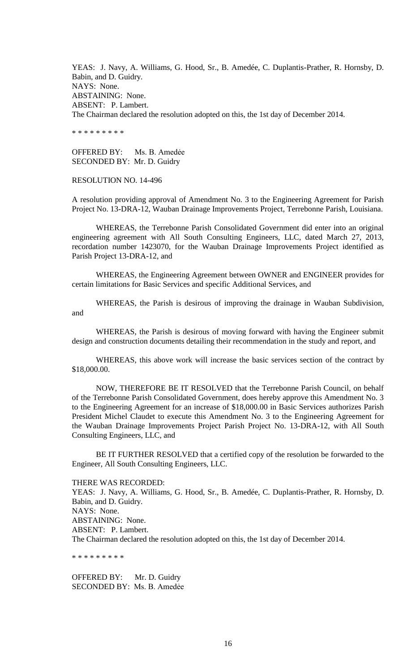YEAS: J. Navy, A. Williams, G. Hood, Sr., B. Amedée, C. Duplantis-Prather, R. Hornsby, D. Babin, and D. Guidry. NAYS: None. ABSTAINING: None. ABSENT: P. Lambert. The Chairman declared the resolution adopted on this, the 1st day of December 2014.

\* \* \* \* \* \* \* \* \*

OFFERED BY: Ms. B. Amedẻe SECONDED BY: Mr. D. Guidry

RESOLUTION NO. 14-496

A resolution providing approval of Amendment No. 3 to the Engineering Agreement for Parish Project No. 13-DRA-12, Wauban Drainage Improvements Project, Terrebonne Parish, Louisiana.

WHEREAS, the Terrebonne Parish Consolidated Government did enter into an original engineering agreement with All South Consulting Engineers, LLC, dated March 27, 2013, recordation number 1423070, for the Wauban Drainage Improvements Project identified as Parish Project 13-DRA-12, and

WHEREAS, the Engineering Agreement between OWNER and ENGINEER provides for certain limitations for Basic Services and specific Additional Services, and

WHEREAS, the Parish is desirous of improving the drainage in Wauban Subdivision, and

WHEREAS, the Parish is desirous of moving forward with having the Engineer submit design and construction documents detailing their recommendation in the study and report, and

WHEREAS, this above work will increase the basic services section of the contract by \$18,000.00.

NOW, THEREFORE BE IT RESOLVED that the Terrebonne Parish Council, on behalf of the Terrebonne Parish Consolidated Government, does hereby approve this Amendment No. 3 to the Engineering Agreement for an increase of \$18,000.00 in Basic Services authorizes Parish President Michel Claudet to execute this Amendment No. 3 to the Engineering Agreement for the Wauban Drainage Improvements Project Parish Project No. 13-DRA-12, with All South Consulting Engineers, LLC, and

BE IT FURTHER RESOLVED that a certified copy of the resolution be forwarded to the Engineer, All South Consulting Engineers, LLC.

THERE WAS RECORDED:

YEAS: J. Navy, A. Williams, G. Hood, Sr., B. Amedée, C. Duplantis-Prather, R. Hornsby, D. Babin, and D. Guidry. NAYS: None. ABSTAINING: None. ABSENT: P. Lambert. The Chairman declared the resolution adopted on this, the 1st day of December 2014.

\* \* \* \* \* \* \* \* \*

OFFERED BY: Mr. D. Guidry SECONDED BY: Ms. B. Amedẻe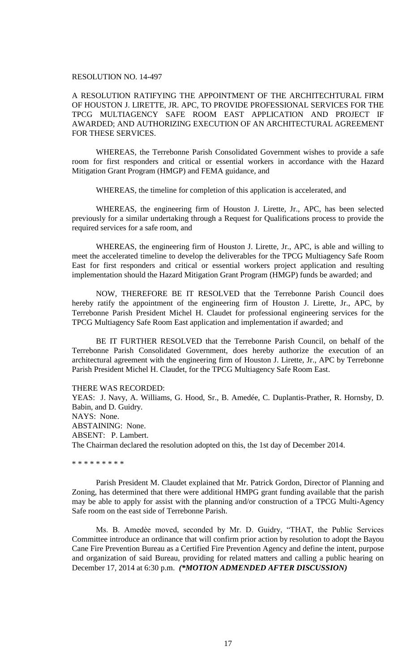## RESOLUTION NO. 14-497

A RESOLUTION RATIFYING THE APPOINTMENT OF THE ARCHITECHTURAL FIRM OF HOUSTON J. LIRETTE, JR. APC, TO PROVIDE PROFESSIONAL SERVICES FOR THE TPCG MULTIAGENCY SAFE ROOM EAST APPLICATION AND PROJECT IF AWARDED; AND AUTHORIZING EXECUTION OF AN ARCHITECTURAL AGREEMENT FOR THESE SERVICES.

WHEREAS, the Terrebonne Parish Consolidated Government wishes to provide a safe room for first responders and critical or essential workers in accordance with the Hazard Mitigation Grant Program (HMGP) and FEMA guidance, and

WHEREAS, the timeline for completion of this application is accelerated, and

WHEREAS, the engineering firm of Houston J. Lirette, Jr., APC, has been selected previously for a similar undertaking through a Request for Qualifications process to provide the required services for a safe room, and

WHEREAS, the engineering firm of Houston J. Lirette, Jr., APC, is able and willing to meet the accelerated timeline to develop the deliverables for the TPCG Multiagency Safe Room East for first responders and critical or essential workers project application and resulting implementation should the Hazard Mitigation Grant Program (HMGP) funds be awarded; and

NOW, THEREFORE BE IT RESOLVED that the Terrebonne Parish Council does hereby ratify the appointment of the engineering firm of Houston J. Lirette, Jr., APC, by Terrebonne Parish President Michel H. Claudet for professional engineering services for the TPCG Multiagency Safe Room East application and implementation if awarded; and

BE IT FURTHER RESOLVED that the Terrebonne Parish Council, on behalf of the Terrebonne Parish Consolidated Government, does hereby authorize the execution of an architectural agreement with the engineering firm of Houston J. Lirette, Jr., APC by Terrebonne Parish President Michel H. Claudet, for the TPCG Multiagency Safe Room East.

#### THERE WAS RECORDED:

YEAS: J. Navy, A. Williams, G. Hood, Sr., B. Amedée, C. Duplantis-Prather, R. Hornsby, D. Babin, and D. Guidry. NAYS: None. ABSTAINING: None. ABSENT: P. Lambert. The Chairman declared the resolution adopted on this, the 1st day of December 2014.

\* \* \* \* \* \* \* \*

Parish President M. Claudet explained that Mr. Patrick Gordon, Director of Planning and Zoning, has determined that there were additional HMPG grant funding available that the parish may be able to apply for assist with the planning and/or construction of a TPCG Multi-Agency Safe room on the east side of Terrebonne Parish.

Ms. B. Amedèe moved, seconded by Mr. D. Guidry, "THAT, the Public Services Committee introduce an ordinance that will confirm prior action by resolution to adopt the Bayou Cane Fire Prevention Bureau as a Certified Fire Prevention Agency and define the intent, purpose and organization of said Bureau, providing for related matters and calling a public hearing on December 17, 2014 at 6:30 p.m. *(\*MOTION ADMENDED AFTER DISCUSSION)*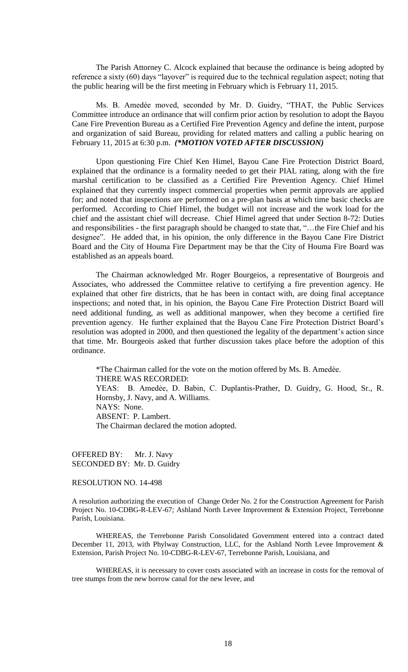The Parish Attorney C. Alcock explained that because the ordinance is being adopted by reference a sixty (60) days "layover" is required due to the technical regulation aspect; noting that the public hearing will be the first meeting in February which is February 11, 2015.

Ms. B. Amedèe moved, seconded by Mr. D. Guidry, "THAT, the Public Services Committee introduce an ordinance that will confirm prior action by resolution to adopt the Bayou Cane Fire Prevention Bureau as a Certified Fire Prevention Agency and define the intent, purpose and organization of said Bureau, providing for related matters and calling a public hearing on February 11, 2015 at 6:30 p.m. *(\*MOTION VOTED AFTER DISCUSSION)* 

Upon questioning Fire Chief Ken Himel, Bayou Cane Fire Protection District Board, explained that the ordinance is a formality needed to get their PIAL rating, along with the fire marshal certification to be classified as a Certified Fire Prevention Agency. Chief Himel explained that they currently inspect commercial properties when permit approvals are applied for; and noted that inspections are performed on a pre-plan basis at which time basic checks are performed. According to Chief Himel, the budget will not increase and the work load for the chief and the assistant chief will decrease. Chief Himel agreed that under Section 8-72: Duties and responsibilities - the first paragraph should be changed to state that, "…the Fire Chief and his designee". He added that, in his opinion, the only difference in the Bayou Cane Fire District Board and the City of Houma Fire Department may be that the City of Houma Fire Board was established as an appeals board.

The Chairman acknowledged Mr. Roger Bourgeios, a representative of Bourgeois and Associates, who addressed the Committee relative to certifying a fire prevention agency. He explained that other fire districts, that he has been in contact with, are doing final acceptance inspections; and noted that, in his opinion, the Bayou Cane Fire Protection District Board will need additional funding, as well as additional manpower, when they become a certified fire prevention agency. He further explained that the Bayou Cane Fire Protection District Board's resolution was adopted in 2000, and then questioned the legality of the department's action since that time. Mr. Bourgeois asked that further discussion takes place before the adoption of this ordinance.

\*The Chairman called for the vote on the motion offered by Ms. B. Amedѐe. THERE WAS RECORDED: YEAS: B. Amedẻe, D. Babin, C. Duplantis-Prather, D. Guidry, G. Hood, Sr., R. Hornsby, J. Navy, and A. Williams. NAYS: None. ABSENT: P. Lambert. The Chairman declared the motion adopted.

OFFERED BY: Mr. J. Navy SECONDED BY: Mr. D. Guidry

# RESOLUTION NO. 14-498

A resolution authorizing the execution of Change Order No. 2 for the Construction Agreement for Parish Project No. 10-CDBG-R-LEV-67; Ashland North Levee Improvement & Extension Project, Terrebonne Parish, Louisiana.

WHEREAS, the Terrebonne Parish Consolidated Government entered into a contract dated December 11, 2013, with Phylway Construction, LLC, for the Ashland North Levee Improvement & Extension, Parish Project No. 10-CDBG-R-LEV-67, Terrebonne Parish, Louisiana, and

WHEREAS, it is necessary to cover costs associated with an increase in costs for the removal of tree stumps from the new borrow canal for the new levee, and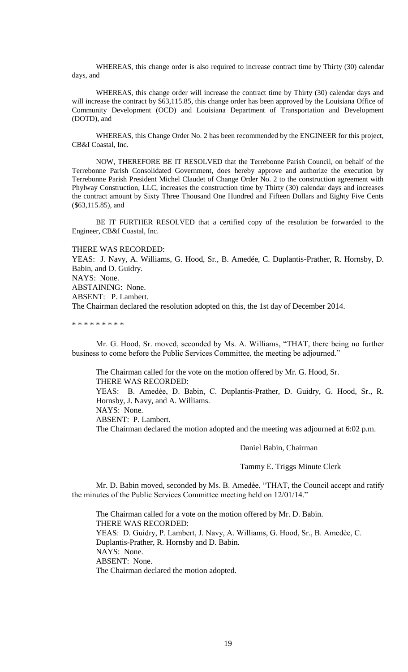WHEREAS, this change order is also required to increase contract time by Thirty (30) calendar days, and

WHEREAS, this change order will increase the contract time by Thirty (30) calendar days and will increase the contract by \$63,115.85, this change order has been approved by the Louisiana Office of Community Development (OCD) and Louisiana Department of Transportation and Development (DOTD), and

WHEREAS, this Change Order No. 2 has been recommended by the ENGINEER for this project, CB&I Coastal, Inc.

NOW, THEREFORE BE IT RESOLVED that the Terrebonne Parish Council, on behalf of the Terrebonne Parish Consolidated Government, does hereby approve and authorize the execution by Terrebonne Parish President Michel Claudet of Change Order No. 2 to the construction agreement with Phylway Construction, LLC, increases the construction time by Thirty (30) calendar days and increases the contract amount by Sixty Three Thousand One Hundred and Fifteen Dollars and Eighty Five Cents (\$63,115.85), and

BE IT FURTHER RESOLVED that a certified copy of the resolution be forwarded to the Engineer, CB&I Coastal, Inc.

THERE WAS RECORDED:

YEAS: J. Navy, A. Williams, G. Hood, Sr., B. Amedée, C. Duplantis-Prather, R. Hornsby, D. Babin, and D. Guidry. NAYS: None. ABSTAINING: None.

ABSENT: P. Lambert.

The Chairman declared the resolution adopted on this, the 1st day of December 2014.

\* \* \* \* \* \* \* \* \*

Mr. G. Hood, Sr. moved, seconded by Ms. A. Williams, "THAT, there being no further business to come before the Public Services Committee, the meeting be adjourned."

The Chairman called for the vote on the motion offered by Mr. G. Hood, Sr. THERE WAS RECORDED: YEAS: B. Amedẻe, D. Babin, C. Duplantis-Prather, D. Guidry, G. Hood, Sr., R. Hornsby, J. Navy, and A. Williams. NAYS: None. ABSENT: P. Lambert.

The Chairman declared the motion adopted and the meeting was adjourned at 6:02 p.m.

Daniel Babin, Chairman

Tammy E. Triggs Minute Clerk

Mr. D. Babin moved, seconded by Ms. B. Amedèe, "THAT, the Council accept and ratify the minutes of the Public Services Committee meeting held on 12/01/14."

The Chairman called for a vote on the motion offered by Mr. D. Babin. THERE WAS RECORDED: YEAS: D. Guidry, P. Lambert, J. Navy, A. Williams, G. Hood, Sr., B. Amedèe, C. Duplantis-Prather, R. Hornsby and D. Babin. NAYS: None. ABSENT: None. The Chairman declared the motion adopted.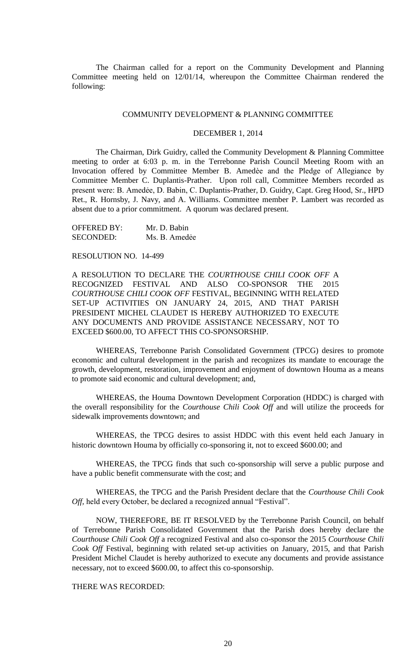The Chairman called for a report on the Community Development and Planning Committee meeting held on 12/01/14, whereupon the Committee Chairman rendered the following:

### COMMUNITY DEVELOPMENT & PLANNING COMMITTEE

### DECEMBER 1, 2014

The Chairman, Dirk Guidry, called the Community Development & Planning Committee meeting to order at 6:03 p. m. in the Terrebonne Parish Council Meeting Room with an Invocation offered by Committee Member B. Amedèe and the Pledge of Allegiance by Committee Member C. Duplantis-Prather. Upon roll call, Committee Members recorded as present were: B. Amedẻe, D. Babin, C. Duplantis-Prather, D. Guidry, Capt. Greg Hood, Sr., HPD Ret., R. Hornsby, J. Navy, and A. Williams. Committee member P. Lambert was recorded as absent due to a prior commitment. A quorum was declared present.

OFFERED BY: Mr. D. Babin SECONDED: Ms. B. Amedẻe

#### RESOLUTION NO. 14-499

A RESOLUTION TO DECLARE THE *COURTHOUSE CHILI COOK OFF* A RECOGNIZED FESTIVAL AND ALSO CO-SPONSOR THE 2015 *COURTHOUSE CHILI COOK OFF* FESTIVAL, BEGINNING WITH RELATED SET-UP ACTIVITIES ON JANUARY 24, 2015, AND THAT PARISH PRESIDENT MICHEL CLAUDET IS HEREBY AUTHORIZED TO EXECUTE ANY DOCUMENTS AND PROVIDE ASSISTANCE NECESSARY, NOT TO EXCEED \$600.00, TO AFFECT THIS CO-SPONSORSHIP.

WHEREAS, Terrebonne Parish Consolidated Government (TPCG) desires to promote economic and cultural development in the parish and recognizes its mandate to encourage the growth, development, restoration, improvement and enjoyment of downtown Houma as a means to promote said economic and cultural development; and,

WHEREAS, the Houma Downtown Development Corporation (HDDC) is charged with the overall responsibility for the *Courthouse Chili Cook Off* and will utilize the proceeds for sidewalk improvements downtown; and

WHEREAS, the TPCG desires to assist HDDC with this event held each January in historic downtown Houma by officially co-sponsoring it, not to exceed \$600.00; and

WHEREAS, the TPCG finds that such co-sponsorship will serve a public purpose and have a public benefit commensurate with the cost; and

WHEREAS, the TPCG and the Parish President declare that the *Courthouse Chili Cook Off,* held every October, be declared a recognized annual "Festival".

NOW, THEREFORE, BE IT RESOLVED by the Terrebonne Parish Council, on behalf of Terrebonne Parish Consolidated Government that the Parish does hereby declare the *Courthouse Chili Cook Off* a recognized Festival and also co-sponsor the 2015 *Courthouse Chili Cook Off* Festival, beginning with related set-up activities on January, 2015, and that Parish President Michel Claudet is hereby authorized to execute any documents and provide assistance necessary, not to exceed \$600.00, to affect this co-sponsorship.

THERE WAS RECORDED: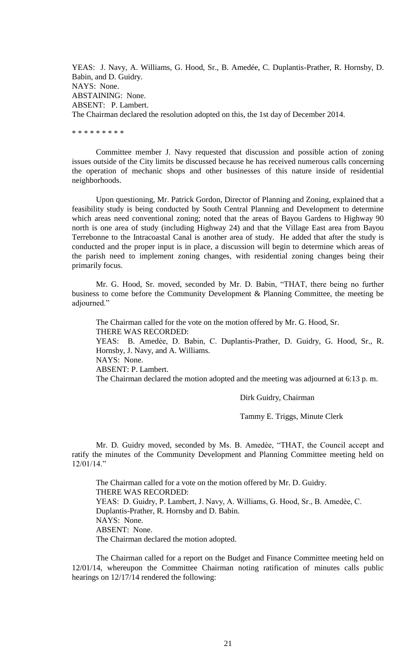YEAS: J. Navy, A. Williams, G. Hood, Sr., B. Amedée, C. Duplantis-Prather, R. Hornsby, D. Babin, and D. Guidry. NAYS: None. ABSTAINING: None. ABSENT: P. Lambert. The Chairman declared the resolution adopted on this, the 1st day of December 2014.

\* \* \* \* \* \* \* \* \*

Committee member J. Navy requested that discussion and possible action of zoning issues outside of the City limits be discussed because he has received numerous calls concerning the operation of mechanic shops and other businesses of this nature inside of residential neighborhoods.

Upon questioning, Mr. Patrick Gordon, Director of Planning and Zoning, explained that a feasibility study is being conducted by South Central Planning and Development to determine which areas need conventional zoning; noted that the areas of Bayou Gardens to Highway 90 north is one area of study (including Highway 24) and that the Village East area from Bayou Terrebonne to the Intracoastal Canal is another area of study. He added that after the study is conducted and the proper input is in place, a discussion will begin to determine which areas of the parish need to implement zoning changes, with residential zoning changes being their primarily focus.

Mr. G. Hood, Sr. moved, seconded by Mr. D. Babin, "THAT, there being no further business to come before the Community Development & Planning Committee, the meeting be adjourned."

The Chairman called for the vote on the motion offered by Mr. G. Hood, Sr. THERE WAS RECORDED: YEAS: B. Amedẻe, D. Babin, C. Duplantis-Prather, D. Guidry, G. Hood, Sr., R. Hornsby, J. Navy, and A. Williams. NAYS: None. ABSENT: P. Lambert. The Chairman declared the motion adopted and the meeting was adjourned at 6:13 p. m.

Dirk Guidry, Chairman

Tammy E. Triggs, Minute Clerk

Mr. D. Guidry moved, seconded by Ms. B. Amedѐe, "THAT, the Council accept and ratify the minutes of the Community Development and Planning Committee meeting held on 12/01/14."

The Chairman called for a vote on the motion offered by Mr. D. Guidry. THERE WAS RECORDED: YEAS: D. Guidry, P. Lambert, J. Navy, A. Williams, G. Hood, Sr., B. Amedèe, C. Duplantis-Prather, R. Hornsby and D. Babin. NAYS: None. ABSENT: None. The Chairman declared the motion adopted.

The Chairman called for a report on the Budget and Finance Committee meeting held on 12/01/14, whereupon the Committee Chairman noting ratification of minutes calls public hearings on 12/17/14 rendered the following: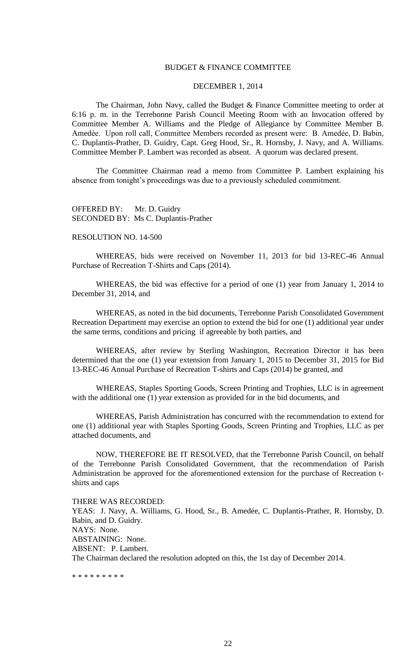## BUDGET & FINANCE COMMITTEE

## DECEMBER 1, 2014

The Chairman, John Navy, called the Budget & Finance Committee meeting to order at 6:16 p. m. in the Terrebonne Parish Council Meeting Room with an Invocation offered by Committee Member A. Williams and the Pledge of Allegiance by Committee Member B. Amedèe. Upon roll call, Committee Members recorded as present were: B. Amedée, D. Babin, C. Duplantis-Prather, D. Guidry, Capt. Greg Hood, Sr., R. Hornsby, J. Navy, and A. Williams. Committee Member P. Lambert was recorded as absent. A quorum was declared present.

The Committee Chairman read a memo from Committee P. Lambert explaining his absence from tonight's proceedings was due to a previously scheduled commitment.

OFFERED BY: Mr. D. Guidry SECONDED BY: Ms C. Duplantis-Prather

#### RESOLUTION NO. 14-500

WHEREAS, bids were received on November 11, 2013 for bid 13-REC-46 Annual Purchase of Recreation T-Shirts and Caps (2014).

WHEREAS, the bid was effective for a period of one (1) year from January 1, 2014 to December 31, 2014, and

WHEREAS, as noted in the bid documents, Terrebonne Parish Consolidated Government Recreation Department may exercise an option to extend the bid for one (1) additional year under the same terms, conditions and pricing if agreeable by both parties, and

WHEREAS, after review by Sterling Washington, Recreation Director it has been determined that the one (1) year extension from January 1, 2015 to December 31, 2015 for Bid 13-REC-46 Annual Purchase of Recreation T-shirts and Caps (2014) be granted, and

 WHEREAS, Staples Sporting Goods, Screen Printing and Trophies, LLC is in agreement with the additional one (1) year extension as provided for in the bid documents, and

WHEREAS, Parish Administration has concurred with the recommendation to extend for one (1) additional year with Staples Sporting Goods, Screen Printing and Trophies, LLC as per attached documents, and

NOW, THEREFORE BE IT RESOLVED, that the Terrebonne Parish Council, on behalf of the Terrebonne Parish Consolidated Government, that the recommendation of Parish Administration be approved for the aforementioned extension for the purchase of Recreation tshirts and caps

THERE WAS RECORDED: YEAS: J. Navy, A. Williams, G. Hood, Sr., B. Amedée, C. Duplantis-Prather, R. Hornsby, D. Babin, and D. Guidry. NAYS: None. ABSTAINING: None. ABSENT: P. Lambert. The Chairman declared the resolution adopted on this, the 1st day of December 2014.

\* \* \* \* \* \* \* \* \*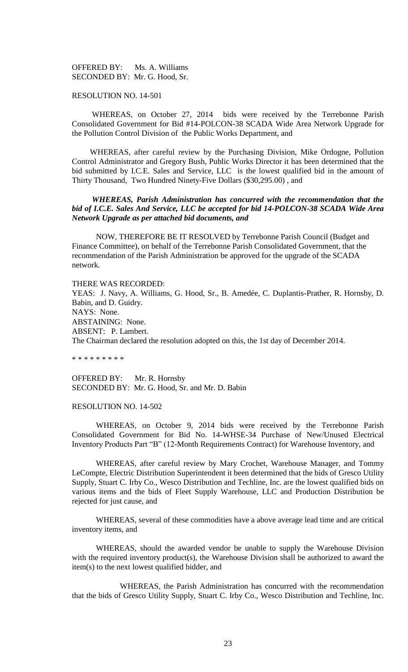OFFERED BY: Ms. A. Williams SECONDED BY: Mr. G. Hood, Sr.

## RESOLUTION NO. 14-501

 WHEREAS, on October 27, 2014 bids were received by the Terrebonne Parish Consolidated Government for Bid #14-POLCON-38 SCADA Wide Area Network Upgrade for the Pollution Control Division of the Public Works Department, and

 WHEREAS, after careful review by the Purchasing Division, Mike Ordogne, Pollution Control Administrator and Gregory Bush, Public Works Director it has been determined that the bid submitted by I.C.E. Sales and Service, LLC is the lowest qualified bid in the amount of Thirty Thousand, Two Hundred Ninety-Five Dollars (\$30,295.00) , and

# *WHEREAS, Parish Administration has concurred with the recommendation that the bid of I.C.E. Sales And Service, LLC be accepted for bid 14-POLCON-38 SCADA Wide Area Network Upgrade as per attached bid documents, and*

NOW, THEREFORE BE IT RESOLVED by Terrebonne Parish Council (Budget and Finance Committee), on behalf of the Terrebonne Parish Consolidated Government, that the recommendation of the Parish Administration be approved for the upgrade of the SCADA network.

THERE WAS RECORDED: YEAS: J. Navy, A. Williams, G. Hood, Sr., B. Amedée, C. Duplantis-Prather, R. Hornsby, D. Babin, and D. Guidry. NAYS: None. ABSTAINING: None. ABSENT: P. Lambert. The Chairman declared the resolution adopted on this, the 1st day of December 2014.

\* \* \* \* \* \* \* \* \*

OFFERED BY: Mr. R. Hornsby SECONDED BY: Mr. G. Hood, Sr. and Mr. D. Babin

### RESOLUTION NO. 14-502

WHEREAS, on October 9, 2014 bids were received by the Terrebonne Parish Consolidated Government for Bid No. 14-WHSE-34 Purchase of New/Unused Electrical Inventory Products Part "B" (12-Month Requirements Contract) for Warehouse Inventory, and

WHEREAS, after careful review by Mary Crochet, Warehouse Manager, and Tommy LeCompte, Electric Distribution Superintendent it been determined that the bids of Gresco Utility Supply, Stuart C. Irby Co., Wesco Distribution and Techline, Inc. are the lowest qualified bids on various items and the bids of Fleet Supply Warehouse, LLC and Production Distribution be rejected for just cause, and

WHEREAS, several of these commodities have a above average lead time and are critical inventory items, and

WHEREAS, should the awarded vendor be unable to supply the Warehouse Division with the required inventory product(s), the Warehouse Division shall be authorized to award the item(s) to the next lowest qualified bidder, and

WHEREAS, the Parish Administration has concurred with the recommendation that the bids of Gresco Utility Supply, Stuart C. Irby Co., Wesco Distribution and Techline, Inc.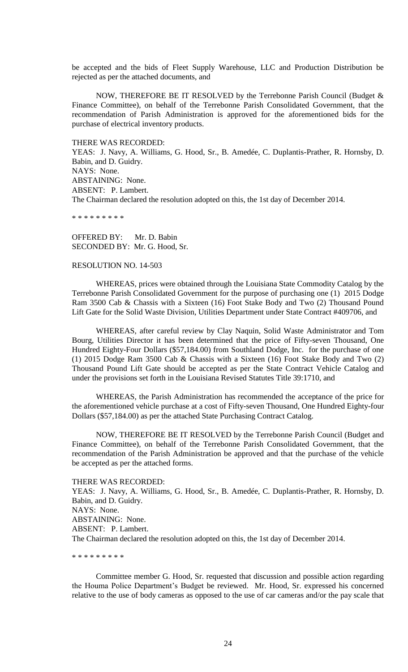be accepted and the bids of Fleet Supply Warehouse, LLC and Production Distribution be rejected as per the attached documents, and

NOW, THEREFORE BE IT RESOLVED by the Terrebonne Parish Council (Budget & Finance Committee), on behalf of the Terrebonne Parish Consolidated Government, that the recommendation of Parish Administration is approved for the aforementioned bids for the purchase of electrical inventory products.

THERE WAS RECORDED:

YEAS: J. Navy, A. Williams, G. Hood, Sr., B. Amedée, C. Duplantis-Prather, R. Hornsby, D. Babin, and D. Guidry. NAYS: None. ABSTAINING: None. ABSENT: P. Lambert. The Chairman declared the resolution adopted on this, the 1st day of December 2014.

\* \* \* \* \* \* \* \* \*

OFFERED BY: Mr. D. Babin SECONDED BY: Mr. G. Hood, Sr.

#### RESOLUTION NO. 14-503

WHEREAS, prices were obtained through the Louisiana State Commodity Catalog by the Terrebonne Parish Consolidated Government for the purpose of purchasing one (1) 2015 Dodge Ram 3500 Cab & Chassis with a Sixteen (16) Foot Stake Body and Two (2) Thousand Pound Lift Gate for the Solid Waste Division, Utilities Department under State Contract #409706, and

WHEREAS, after careful review by Clay Naquin, Solid Waste Administrator and Tom Bourg, Utilities Director it has been determined that the price of Fifty-seven Thousand, One Hundred Eighty-Four Dollars (\$57,184.00) from Southland Dodge, Inc. for the purchase of one (1) 2015 Dodge Ram 3500 Cab & Chassis with a Sixteen (16) Foot Stake Body and Two (2) Thousand Pound Lift Gate should be accepted as per the State Contract Vehicle Catalog and under the provisions set forth in the Louisiana Revised Statutes Title 39:1710, and

WHEREAS, the Parish Administration has recommended the acceptance of the price for the aforementioned vehicle purchase at a cost of Fifty-seven Thousand, One Hundred Eighty-four Dollars (\$57,184.00) as per the attached State Purchasing Contract Catalog.

NOW, THEREFORE BE IT RESOLVED by the Terrebonne Parish Council (Budget and Finance Committee), on behalf of the Terrebonne Parish Consolidated Government, that the recommendation of the Parish Administration be approved and that the purchase of the vehicle be accepted as per the attached forms.

#### THERE WAS RECORDED:

YEAS: J. Navy, A. Williams, G. Hood, Sr., B. Amedée, C. Duplantis-Prather, R. Hornsby, D. Babin, and D. Guidry. NAYS: None. ABSTAINING: None. ABSENT: P. Lambert. The Chairman declared the resolution adopted on this, the 1st day of December 2014.

\* \* \* \* \* \* \* \* \*

Committee member G. Hood, Sr. requested that discussion and possible action regarding the Houma Police Department's Budget be reviewed. Mr. Hood, Sr. expressed his concerned relative to the use of body cameras as opposed to the use of car cameras and/or the pay scale that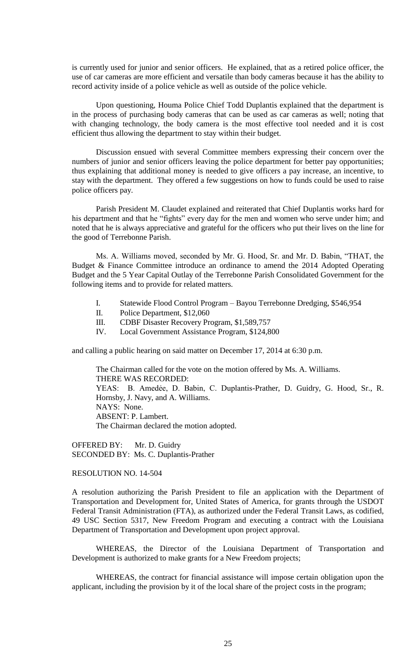is currently used for junior and senior officers. He explained, that as a retired police officer, the use of car cameras are more efficient and versatile than body cameras because it has the ability to record activity inside of a police vehicle as well as outside of the police vehicle.

Upon questioning, Houma Police Chief Todd Duplantis explained that the department is in the process of purchasing body cameras that can be used as car cameras as well; noting that with changing technology, the body camera is the most effective tool needed and it is cost efficient thus allowing the department to stay within their budget.

Discussion ensued with several Committee members expressing their concern over the numbers of junior and senior officers leaving the police department for better pay opportunities; thus explaining that additional money is needed to give officers a pay increase, an incentive, to stay with the department. They offered a few suggestions on how to funds could be used to raise police officers pay.

Parish President M. Claudet explained and reiterated that Chief Duplantis works hard for his department and that he "fights" every day for the men and women who serve under him; and noted that he is always appreciative and grateful for the officers who put their lives on the line for the good of Terrebonne Parish.

Ms. A. Williams moved, seconded by Mr. G. Hood, Sr. and Mr. D. Babin, "THAT, the Budget & Finance Committee introduce an ordinance to amend the 2014 Adopted Operating Budget and the 5 Year Capital Outlay of the Terrebonne Parish Consolidated Government for the following items and to provide for related matters.

- I. Statewide Flood Control Program Bayou Terrebonne Dredging, \$546,954
- II. Police Department, \$12,060
- III. CDBF Disaster Recovery Program, \$1,589,757
- IV. Local Government Assistance Program, \$124,800

and calling a public hearing on said matter on December 17, 2014 at 6:30 p.m.

The Chairman called for the vote on the motion offered by Ms. A. Williams. THERE WAS RECORDED: YEAS: B. Amedẻe, D. Babin, C. Duplantis-Prather, D. Guidry, G. Hood, Sr., R. Hornsby, J. Navy, and A. Williams. NAYS: None. ABSENT: P. Lambert. The Chairman declared the motion adopted.

OFFERED BY: Mr. D. Guidry SECONDED BY: Ms. C. Duplantis-Prather

RESOLUTION NO. 14-504

A resolution authorizing the Parish President to file an application with the Department of Transportation and Development for, United States of America, for grants through the USDOT Federal Transit Administration (FTA), as authorized under the Federal Transit Laws, as codified, 49 USC Section 5317, New Freedom Program and executing a contract with the Louisiana Department of Transportation and Development upon project approval.

WHEREAS, the Director of the Louisiana Department of Transportation and Development is authorized to make grants for a New Freedom projects;

WHEREAS, the contract for financial assistance will impose certain obligation upon the applicant, including the provision by it of the local share of the project costs in the program;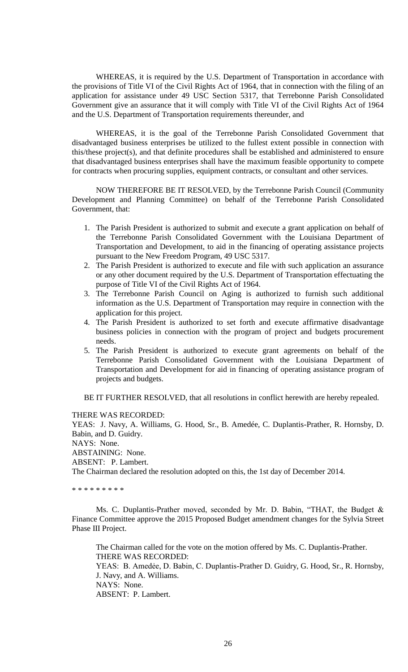WHEREAS, it is required by the U.S. Department of Transportation in accordance with the provisions of Title VI of the Civil Rights Act of 1964, that in connection with the filing of an application for assistance under 49 USC Section 5317, that Terrebonne Parish Consolidated Government give an assurance that it will comply with Title VI of the Civil Rights Act of 1964 and the U.S. Department of Transportation requirements thereunder, and

WHEREAS, it is the goal of the Terrebonne Parish Consolidated Government that disadvantaged business enterprises be utilized to the fullest extent possible in connection with this/these project(s), and that definite procedures shall be established and administered to ensure that disadvantaged business enterprises shall have the maximum feasible opportunity to compete for contracts when procuring supplies, equipment contracts, or consultant and other services.

NOW THEREFORE BE IT RESOLVED, by the Terrebonne Parish Council (Community Development and Planning Committee) on behalf of the Terrebonne Parish Consolidated Government, that:

- 1. The Parish President is authorized to submit and execute a grant application on behalf of the Terrebonne Parish Consolidated Government with the Louisiana Department of Transportation and Development, to aid in the financing of operating assistance projects pursuant to the New Freedom Program, 49 USC 5317.
- 2. The Parish President is authorized to execute and file with such application an assurance or any other document required by the U.S. Department of Transportation effectuating the purpose of Title VI of the Civil Rights Act of 1964.
- 3. The Terrebonne Parish Council on Aging is authorized to furnish such additional information as the U.S. Department of Transportation may require in connection with the application for this project.
- 4. The Parish President is authorized to set forth and execute affirmative disadvantage business policies in connection with the program of project and budgets procurement needs.
- 5. The Parish President is authorized to execute grant agreements on behalf of the Terrebonne Parish Consolidated Government with the Louisiana Department of Transportation and Development for aid in financing of operating assistance program of projects and budgets.

BE IT FURTHER RESOLVED, that all resolutions in conflict herewith are hereby repealed.

THERE WAS RECORDED:

YEAS: J. Navy, A. Williams, G. Hood, Sr., B. Amedée, C. Duplantis-Prather, R. Hornsby, D. Babin, and D. Guidry. NAYS: None. ABSTAINING: None. ABSENT: P. Lambert. The Chairman declared the resolution adopted on this, the 1st day of December 2014.

\* \* \* \* \* \* \* \* \*

Ms. C. Duplantis-Prather moved, seconded by Mr. D. Babin, "THAT, the Budget & Finance Committee approve the 2015 Proposed Budget amendment changes for the Sylvia Street Phase III Project.

The Chairman called for the vote on the motion offered by Ms. C. Duplantis-Prather. THERE WAS RECORDED: YEAS: B. Amedėe, D. Babin, C. Duplantis-Prather D. Guidry, G. Hood, Sr., R. Hornsby, J. Navy, and A. Williams. NAYS: None. ABSENT: P. Lambert.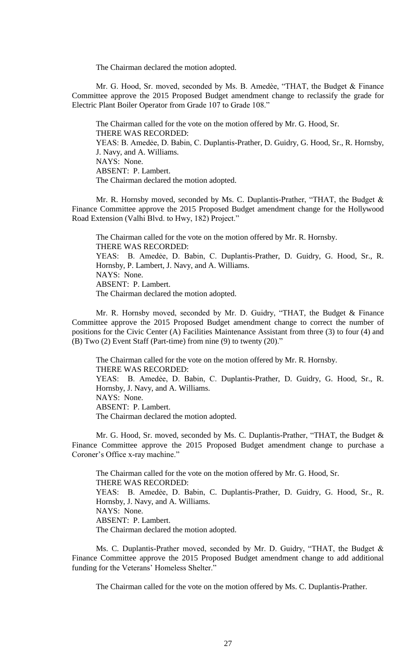The Chairman declared the motion adopted.

Mr. G. Hood, Sr. moved, seconded by Ms. B. Amedѐe, "THAT, the Budget & Finance Committee approve the 2015 Proposed Budget amendment change to reclassify the grade for Electric Plant Boiler Operator from Grade 107 to Grade 108."

The Chairman called for the vote on the motion offered by Mr. G. Hood, Sr. THERE WAS RECORDED: YEAS: B. Amedée, D. Babin, C. Duplantis-Prather, D. Guidry, G. Hood, Sr., R. Hornsby, J. Navy, and A. Williams. NAYS: None. ABSENT: P. Lambert. The Chairman declared the motion adopted.

Mr. R. Hornsby moved, seconded by Ms. C. Duplantis-Prather, "THAT, the Budget & Finance Committee approve the 2015 Proposed Budget amendment change for the Hollywood Road Extension (Valhi Blvd. to Hwy, 182) Project."

The Chairman called for the vote on the motion offered by Mr. R. Hornsby. THERE WAS RECORDED: YEAS: B. Amedẻe, D. Babin, C. Duplantis-Prather, D. Guidry, G. Hood, Sr., R. Hornsby, P. Lambert, J. Navy, and A. Williams. NAYS: None. ABSENT: P. Lambert. The Chairman declared the motion adopted.

Mr. R. Hornsby moved, seconded by Mr. D. Guidry, "THAT, the Budget & Finance Committee approve the 2015 Proposed Budget amendment change to correct the number of positions for the Civic Center (A) Facilities Maintenance Assistant from three (3) to four (4) and (B) Two (2) Event Staff (Part-time) from nine (9) to twenty (20)."

The Chairman called for the vote on the motion offered by Mr. R. Hornsby. THERE WAS RECORDED: YEAS: B. Amedẻe, D. Babin, C. Duplantis-Prather, D. Guidry, G. Hood, Sr., R. Hornsby, J. Navy, and A. Williams. NAYS: None. ABSENT: P. Lambert. The Chairman declared the motion adopted.

Mr. G. Hood, Sr. moved, seconded by Ms. C. Duplantis-Prather, "THAT, the Budget & Finance Committee approve the 2015 Proposed Budget amendment change to purchase a Coroner's Office x-ray machine."

The Chairman called for the vote on the motion offered by Mr. G. Hood, Sr. THERE WAS RECORDED: YEAS: B. Amedẻe, D. Babin, C. Duplantis-Prather, D. Guidry, G. Hood, Sr., R. Hornsby, J. Navy, and A. Williams. NAYS: None. ABSENT: P. Lambert. The Chairman declared the motion adopted.

Ms. C. Duplantis-Prather moved, seconded by Mr. D. Guidry, "THAT, the Budget & Finance Committee approve the 2015 Proposed Budget amendment change to add additional funding for the Veterans' Homeless Shelter."

The Chairman called for the vote on the motion offered by Ms. C. Duplantis-Prather.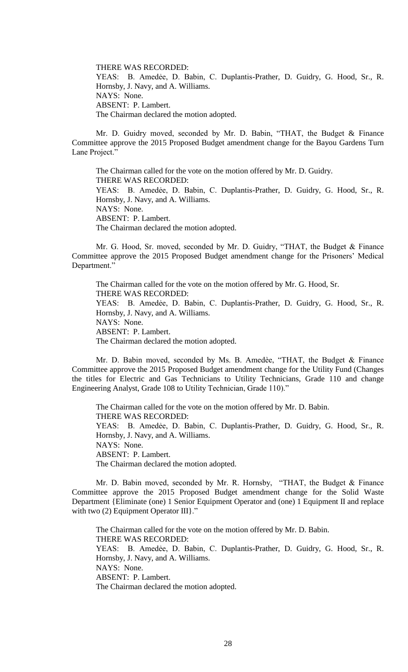THERE WAS RECORDED: YEAS: B. Amedẻe, D. Babin, C. Duplantis-Prather, D. Guidry, G. Hood, Sr., R. Hornsby, J. Navy, and A. Williams. NAYS: None. ABSENT: P. Lambert. The Chairman declared the motion adopted.

Mr. D. Guidry moved, seconded by Mr. D. Babin, "THAT, the Budget & Finance Committee approve the 2015 Proposed Budget amendment change for the Bayou Gardens Turn Lane Project."

The Chairman called for the vote on the motion offered by Mr. D. Guidry. THERE WAS RECORDED: YEAS: B. Amedẻe, D. Babin, C. Duplantis-Prather, D. Guidry, G. Hood, Sr., R. Hornsby, J. Navy, and A. Williams. NAYS: None. ABSENT: P. Lambert. The Chairman declared the motion adopted.

Mr. G. Hood, Sr. moved, seconded by Mr. D. Guidry, "THAT, the Budget & Finance Committee approve the 2015 Proposed Budget amendment change for the Prisoners' Medical Department."

The Chairman called for the vote on the motion offered by Mr. G. Hood, Sr. THERE WAS RECORDED: YEAS: B. Amedẻe, D. Babin, C. Duplantis-Prather, D. Guidry, G. Hood, Sr., R. Hornsby, J. Navy, and A. Williams. NAYS: None. ABSENT: P. Lambert. The Chairman declared the motion adopted.

Mr. D. Babin moved, seconded by Ms. B. Amedèe, "THAT, the Budget & Finance Committee approve the 2015 Proposed Budget amendment change for the Utility Fund (Changes the titles for Electric and Gas Technicians to Utility Technicians, Grade 110 and change Engineering Analyst, Grade 108 to Utility Technician, Grade 110)."

The Chairman called for the vote on the motion offered by Mr. D. Babin. THERE WAS RECORDED: YEAS: B. Amedẻe, D. Babin, C. Duplantis-Prather, D. Guidry, G. Hood, Sr., R. Hornsby, J. Navy, and A. Williams. NAYS: None. ABSENT: P. Lambert. The Chairman declared the motion adopted.

Mr. D. Babin moved, seconded by Mr. R. Hornsby, "THAT, the Budget & Finance Committee approve the 2015 Proposed Budget amendment change for the Solid Waste Department {Eliminate (one) 1 Senior Equipment Operator and (one) 1 Equipment II and replace with two  $(2)$  Equipment Operator III}."

The Chairman called for the vote on the motion offered by Mr. D. Babin. THERE WAS RECORDED: YEAS: B. Amedẻe, D. Babin, C. Duplantis-Prather, D. Guidry, G. Hood, Sr., R. Hornsby, J. Navy, and A. Williams. NAYS: None. ABSENT: P. Lambert. The Chairman declared the motion adopted.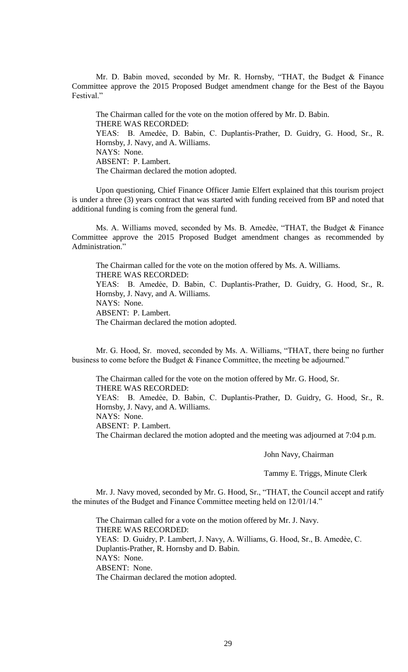Mr. D. Babin moved, seconded by Mr. R. Hornsby, "THAT, the Budget & Finance Committee approve the 2015 Proposed Budget amendment change for the Best of the Bayou Festival."

The Chairman called for the vote on the motion offered by Mr. D. Babin. THERE WAS RECORDED: YEAS: B. Amedẻe, D. Babin, C. Duplantis-Prather, D. Guidry, G. Hood, Sr., R. Hornsby, J. Navy, and A. Williams. NAYS: None. ABSENT: P. Lambert. The Chairman declared the motion adopted.

Upon questioning, Chief Finance Officer Jamie Elfert explained that this tourism project is under a three (3) years contract that was started with funding received from BP and noted that additional funding is coming from the general fund.

Ms. A. Williams moved, seconded by Ms. B. Amedèe, "THAT, the Budget & Finance Committee approve the 2015 Proposed Budget amendment changes as recommended by Administration."

The Chairman called for the vote on the motion offered by Ms. A. Williams. THERE WAS RECORDED: YEAS: B. Amedẻe, D. Babin, C. Duplantis-Prather, D. Guidry, G. Hood, Sr., R. Hornsby, J. Navy, and A. Williams. NAYS: None. ABSENT: P. Lambert. The Chairman declared the motion adopted.

Mr. G. Hood, Sr. moved, seconded by Ms. A. Williams, "THAT, there being no further business to come before the Budget & Finance Committee, the meeting be adjourned."

The Chairman called for the vote on the motion offered by Mr. G. Hood, Sr. THERE WAS RECORDED: YEAS: B. Amedẻe, D. Babin, C. Duplantis-Prather, D. Guidry, G. Hood, Sr., R. Hornsby, J. Navy, and A. Williams. NAYS: None. ABSENT: P. Lambert. The Chairman declared the motion adopted and the meeting was adjourned at 7:04 p.m.

John Navy, Chairman

Tammy E. Triggs, Minute Clerk

Mr. J. Navy moved, seconded by Mr. G. Hood, Sr., "THAT, the Council accept and ratify the minutes of the Budget and Finance Committee meeting held on 12/01/14."

The Chairman called for a vote on the motion offered by Mr. J. Navy. THERE WAS RECORDED: YEAS: D. Guidry, P. Lambert, J. Navy, A. Williams, G. Hood, Sr., B. Amedèe, C. Duplantis-Prather, R. Hornsby and D. Babin. NAYS: None. ABSENT: None. The Chairman declared the motion adopted.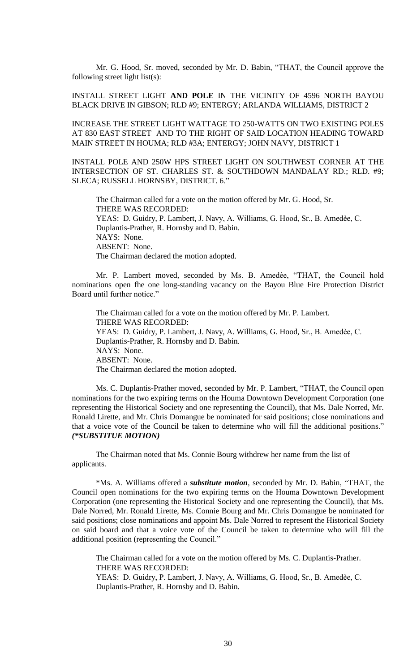Mr. G. Hood, Sr. moved, seconded by Mr. D. Babin, "THAT, the Council approve the following street light list(s):

INSTALL STREET LIGHT **AND POLE** IN THE VICINITY OF 4596 NORTH BAYOU BLACK DRIVE IN GIBSON; RLD #9; ENTERGY; ARLANDA WILLIAMS, DISTRICT 2

INCREASE THE STREET LIGHT WATTAGE TO 250-WATTS ON TWO EXISTING POLES AT 830 EAST STREET AND TO THE RIGHT OF SAID LOCATION HEADING TOWARD MAIN STREET IN HOUMA; RLD #3A; ENTERGY; JOHN NAVY, DISTRICT 1

INSTALL POLE AND 250W HPS STREET LIGHT ON SOUTHWEST CORNER AT THE INTERSECTION OF ST. CHARLES ST. & SOUTHDOWN MANDALAY RD.; RLD. #9; SLECA; RUSSELL HORNSBY, DISTRICT. 6."

The Chairman called for a vote on the motion offered by Mr. G. Hood, Sr. THERE WAS RECORDED: YEAS: D. Guidry, P. Lambert, J. Navy, A. Williams, G. Hood, Sr., B. Amedèe, C. Duplantis-Prather, R. Hornsby and D. Babin. NAYS: None. ABSENT: None. The Chairman declared the motion adopted.

Mr. P. Lambert moved, seconded by Ms. B. Amedèe, "THAT, the Council hold nominations open fhe one long-standing vacancy on the Bayou Blue Fire Protection District Board until further notice."

The Chairman called for a vote on the motion offered by Mr. P. Lambert. THERE WAS RECORDED: YEAS: D. Guidry, P. Lambert, J. Navy, A. Williams, G. Hood, Sr., B. Amedèe, C. Duplantis-Prather, R. Hornsby and D. Babin. NAYS: None. ABSENT: None. The Chairman declared the motion adopted.

Ms. C. Duplantis-Prather moved, seconded by Mr. P. Lambert, "THAT, the Council open nominations for the two expiring terms on the Houma Downtown Development Corporation (one representing the Historical Society and one representing the Council), that Ms. Dale Norred, Mr. Ronald Lirette, and Mr. Chris Domangue be nominated for said positions; close nominations and that a voice vote of the Council be taken to determine who will fill the additional positions." *(\*SUBSTITUE MOTION)*

The Chairman noted that Ms. Connie Bourg withdrew her name from the list of applicants.

\*Ms. A. Williams offered a *substitute motion*, seconded by Mr. D. Babin, "THAT, the Council open nominations for the two expiring terms on the Houma Downtown Development Corporation (one representing the Historical Society and one representing the Council), that Ms. Dale Norred, Mr. Ronald Lirette, Ms. Connie Bourg and Mr. Chris Domangue be nominated for said positions; close nominations and appoint Ms. Dale Norred to represent the Historical Society on said board and that a voice vote of the Council be taken to determine who will fill the additional position (representing the Council."

The Chairman called for a vote on the motion offered by Ms. C. Duplantis-Prather. THERE WAS RECORDED: YEAS: D. Guidry, P. Lambert, J. Navy, A. Williams, G. Hood, Sr., B. Amedèe, C. Duplantis-Prather, R. Hornsby and D. Babin.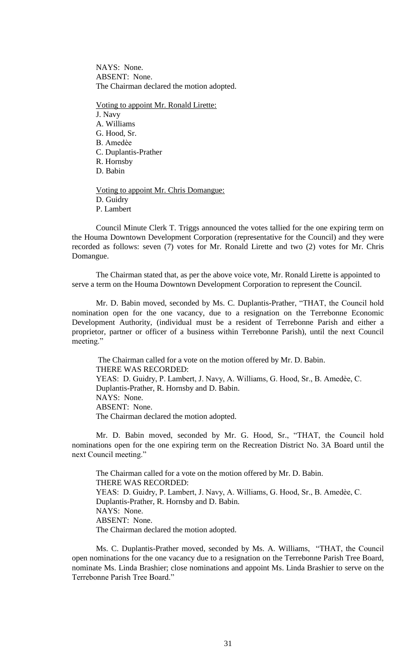NAYS: None. ABSENT: None. The Chairman declared the motion adopted.

- Voting to appoint Mr. Ronald Lirette:
- J. Navy A. Williams G. Hood, Sr. B. Amedѐe C. Duplantis-Prather R. Hornsby D. Babin Voting to appoint Mr. Chris Domangue:
- D. Guidry
- P. Lambert

Council Minute Clerk T. Triggs announced the votes tallied for the one expiring term on the Houma Downtown Development Corporation (representative for the Council) and they were recorded as follows: seven (7) votes for Mr. Ronald Lirette and two (2) votes for Mr. Chris Domangue.

The Chairman stated that, as per the above voice vote, Mr. Ronald Lirette is appointed to serve a term on the Houma Downtown Development Corporation to represent the Council.

Mr. D. Babin moved, seconded by Ms. C. Duplantis-Prather, "THAT, the Council hold nomination open for the one vacancy, due to a resignation on the Terrebonne Economic Development Authority, (individual must be a resident of Terrebonne Parish and either a proprietor, partner or officer of a business within Terrebonne Parish), until the next Council meeting."

The Chairman called for a vote on the motion offered by Mr. D. Babin. THERE WAS RECORDED: YEAS: D. Guidry, P. Lambert, J. Navy, A. Williams, G. Hood, Sr., B. Amedèe, C. Duplantis-Prather, R. Hornsby and D. Babin. NAYS: None. ABSENT: None. The Chairman declared the motion adopted.

Mr. D. Babin moved, seconded by Mr. G. Hood, Sr., "THAT, the Council hold nominations open for the one expiring term on the Recreation District No. 3A Board until the next Council meeting."

The Chairman called for a vote on the motion offered by Mr. D. Babin. THERE WAS RECORDED: YEAS: D. Guidry, P. Lambert, J. Navy, A. Williams, G. Hood, Sr., B. Amedèe, C. Duplantis-Prather, R. Hornsby and D. Babin. NAYS: None. ABSENT: None. The Chairman declared the motion adopted.

Ms. C. Duplantis-Prather moved, seconded by Ms. A. Williams, "THAT, the Council open nominations for the one vacancy due to a resignation on the Terrebonne Parish Tree Board, nominate Ms. Linda Brashier; close nominations and appoint Ms. Linda Brashier to serve on the Terrebonne Parish Tree Board."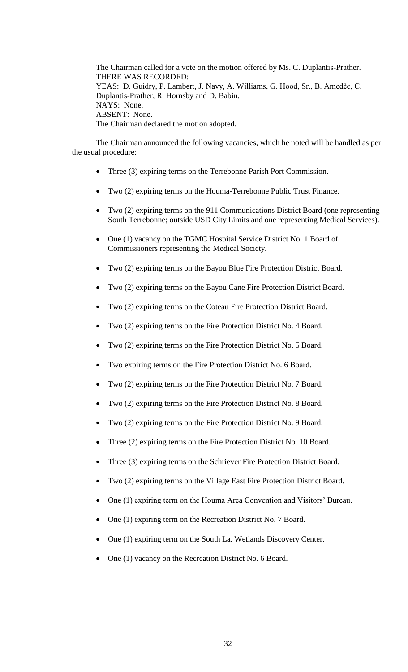The Chairman called for a vote on the motion offered by Ms. C. Duplantis-Prather. THERE WAS RECORDED: YEAS: D. Guidry, P. Lambert, J. Navy, A. Williams, G. Hood, Sr., B. Amedèe, C. Duplantis-Prather, R. Hornsby and D. Babin. NAYS: None. ABSENT: None. The Chairman declared the motion adopted.

The Chairman announced the following vacancies, which he noted will be handled as per the usual procedure:

- Three (3) expiring terms on the Terrebonne Parish Port Commission.
- Two (2) expiring terms on the Houma-Terrebonne Public Trust Finance.
- Two (2) expiring terms on the 911 Communications District Board (one representing South Terrebonne; outside USD City Limits and one representing Medical Services).
- One (1) vacancy on the TGMC Hospital Service District No. 1 Board of Commissioners representing the Medical Society.
- Two (2) expiring terms on the Bayou Blue Fire Protection District Board.
- Two (2) expiring terms on the Bayou Cane Fire Protection District Board.
- Two (2) expiring terms on the Coteau Fire Protection District Board.
- Two (2) expiring terms on the Fire Protection District No. 4 Board.
- Two (2) expiring terms on the Fire Protection District No. 5 Board.
- Two expiring terms on the Fire Protection District No. 6 Board.
- Two (2) expiring terms on the Fire Protection District No. 7 Board.
- Two (2) expiring terms on the Fire Protection District No. 8 Board.
- Two (2) expiring terms on the Fire Protection District No. 9 Board.
- Three (2) expiring terms on the Fire Protection District No. 10 Board.
- Three (3) expiring terms on the Schriever Fire Protection District Board.
- Two (2) expiring terms on the Village East Fire Protection District Board.
- One (1) expiring term on the Houma Area Convention and Visitors' Bureau.
- One (1) expiring term on the Recreation District No. 7 Board.
- One (1) expiring term on the South La. Wetlands Discovery Center.
- One (1) vacancy on the Recreation District No. 6 Board.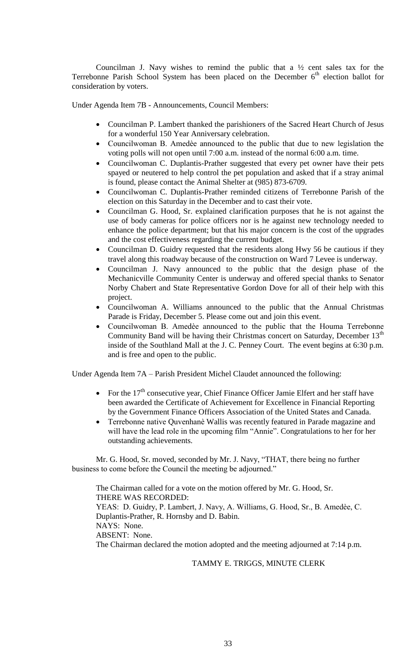Councilman J. Navy wishes to remind the public that a  $\frac{1}{2}$  cent sales tax for the Terrebonne Parish School System has been placed on the December  $6<sup>th</sup>$  election ballot for consideration by voters.

Under Agenda Item 7B - Announcements, Council Members:

- Councilman P. Lambert thanked the parishioners of the Sacred Heart Church of Jesus for a wonderful 150 Year Anniversary celebration.
- Councilwoman B. Amedѐe announced to the public that due to new legislation the voting polls will not open until 7:00 a.m. instead of the normal 6:00 a.m. time.
- Councilwoman C. Duplantis-Prather suggested that every pet owner have their pets spayed or neutered to help control the pet population and asked that if a stray animal is found, please contact the Animal Shelter at (985) 873-6709.
- Councilwoman C. Duplantis-Prather reminded citizens of Terrebonne Parish of the election on this Saturday in the December and to cast their vote.
- Councilman G. Hood, Sr. explained clarification purposes that he is not against the use of body cameras for police officers nor is he against new technology needed to enhance the police department; but that his major concern is the cost of the upgrades and the cost effectiveness regarding the current budget.
- Councilman D. Guidry requested that the residents along Hwy 56 be cautious if they travel along this roadway because of the construction on Ward 7 Levee is underway.
- Councilman J. Navy announced to the public that the design phase of the Mechanicville Community Center is underway and offered special thanks to Senator Norby Chabert and State Representative Gordon Dove for all of their help with this project.
- Councilwoman A. Williams announced to the public that the Annual Christmas Parade is Friday, December 5. Please come out and join this event.
- Councilwoman B. Amedèe announced to the public that the Houma Terrebonne Community Band will be having their Christmas concert on Saturday, December 13<sup>th</sup> inside of the Southland Mall at the J. C. Penney Court. The event begins at 6:30 p.m. and is free and open to the public.

Under Agenda Item 7A – Parish President Michel Claudet announced the following:

- For the 17<sup>th</sup> consecutive year, Chief Finance Officer Jamie Elfert and her staff have been awarded the Certificate of Achievement for Excellence in Financial Reporting by the Government Finance Officers Association of the United States and Canada.
- Terrebonne native Quvenhanѐ Wallis was recently featured in Parade magazine and will have the lead role in the upcoming film "Annie". Congratulations to her for her outstanding achievements.

Mr. G. Hood, Sr. moved, seconded by Mr. J. Navy, "THAT, there being no further business to come before the Council the meeting be adjourned."

The Chairman called for a vote on the motion offered by Mr. G. Hood, Sr. THERE WAS RECORDED: YEAS: D. Guidry, P. Lambert, J. Navy, A. Williams, G. Hood, Sr., B. Amedèe, C. Duplantis-Prather, R. Hornsby and D. Babin. NAYS: None. ABSENT: None. The Chairman declared the motion adopted and the meeting adjourned at 7:14 p.m.

# TAMMY E. TRIGGS, MINUTE CLERK